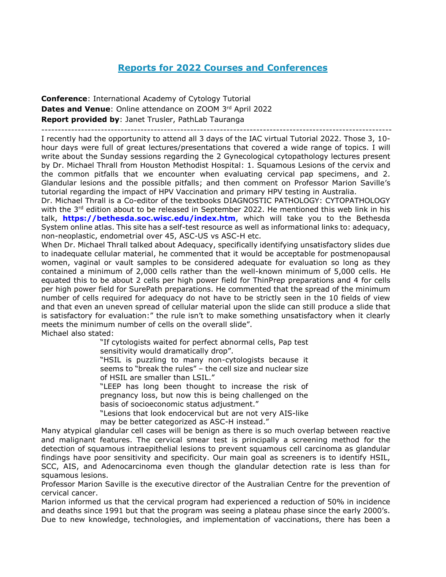# **Reports for 2022 Courses and Conferences**

**Conference**: International Academy of Cytology Tutorial Dates and Venue: Online attendance on ZOOM 3rd April 2022 **Report provided by**: Janet Trusler, PathLab Tauranga ----------------------------------------------------------------------------------------------------------

I recently had the opportunity to attend all 3 days of the IAC virtual Tutorial 2022. Those 3, 10 hour days were full of great lectures/presentations that covered a wide range of topics. I will write about the Sunday sessions regarding the 2 Gynecological cytopathology lectures present by Dr. Michael Thrall from Houston Methodist Hospital: 1. Squamous Lesions of the cervix and the common pitfalls that we encounter when evaluating cervical pap specimens, and 2. Glandular lesions and the possible pitfalls; and then comment on Professor Marion Saville's tutorial regarding the impact of HPV Vaccination and primary HPV testing in Australia.

Dr. Michael Thrall is a Co-editor of the textbooks DIAGNOSTIC PATHOLOGY: CYTOPATHOLOGY with the 3<sup>rd</sup> edition about to be released in September 2022. He mentioned this web link in his talk, **<https://bethesda.soc.wisc.edu/index.htm>**, which will take you to the Bethesda System online atlas. This site has a self-test resource as well as informational links to: adequacy, non-neoplastic, endometrial over 45, ASC-US vs ASC-H etc.

When Dr. Michael Thrall talked about Adequacy, specifically identifying unsatisfactory slides due to inadequate cellular material, he commented that it would be acceptable for postmenopausal women, vaginal or vault samples to be considered adequate for evaluation so long as they contained a minimum of 2,000 cells rather than the well-known minimum of 5,000 cells. He equated this to be about 2 cells per high power field for ThinPrep preparations and 4 for cells per high power field for SurePath preparations. He commented that the spread of the minimum number of cells required for adequacy do not have to be strictly seen in the 10 fields of view and that even an uneven spread of cellular material upon the slide can still produce a slide that is satisfactory for evaluation:" the rule isn't to make something unsatisfactory when it clearly meets the minimum number of cells on the overall slide". Michael also stated:

"If cytologists waited for perfect abnormal cells, Pap test sensitivity would dramatically drop".

"HSIL is puzzling to many non-cytologists because it seems to "break the rules" – the cell size and nuclear size of HSIL are smaller than LSIL."

"LEEP has long been thought to increase the risk of pregnancy loss, but now this is being challenged on the basis of socioeconomic status adjustment."

"Lesions that look endocervical but are not very AIS-like may be better categorized as ASC-H instead."

Many atypical glandular cell cases will be benign as there is so much overlap between reactive and malignant features. The cervical smear test is principally a screening method for the detection of squamous intraepithelial lesions to prevent squamous cell carcinoma as glandular findings have poor sensitivity and specificity. Our main goal as screeners is to identify HSIL, SCC, AIS, and Adenocarcinoma even though the glandular detection rate is less than for squamous lesions.

Professor Marion Saville is the executive director of the Australian Centre for the prevention of cervical cancer.

Marion informed us that the cervical program had experienced a reduction of 50% in incidence and deaths since 1991 but that the program was seeing a plateau phase since the early 2000's. Due to new knowledge, technologies, and implementation of vaccinations, there has been a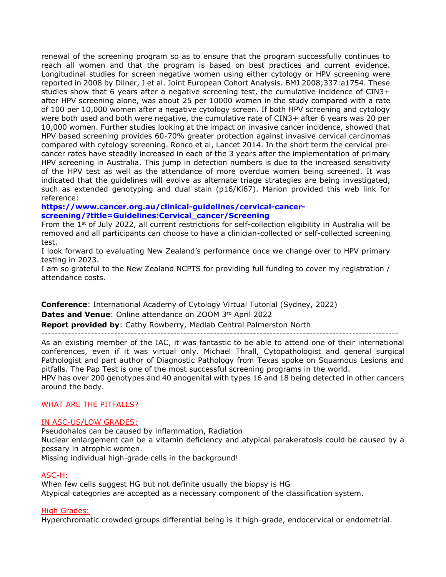renewal of the screening program so as to ensure that the program successfully continues to reach all women and that the program is based on best practices and current evidence. Longitudinal studies for screen negative women using either cytology or HPV screening were reported in 2008 by Dilner, J et al. Joint European Cohort Analysis. BMJ 2008;337:a1754. These studies show that 6 years after a negative screening test, the cumulative incidence of CIN3+ after HPV screening alone, was about 25 per 10000 women in the study compared with a rate of 100 per 10,000 women after a negative cytology screen. If both HPV screening and cytology were both used and both were negative, the cumulative rate of CIN3+ after 6 years was 20 per 10,000 women. Further studies looking at the impact on invasive cancer incidence, showed that HPV based screening provides 60-70% greater protection against invasive cervical carcinomas compared with cytology screening. Ronco et al, Lancet 2014. In the short term the cervical precancer rates have steadily increased in each of the 3 years after the implementation of primary HPV screening in Australia. This jump in detection numbers is due to the increased sensitivity of the HPV test as well as the attendance of more overdue women being screened. It was indicated that the guidelines will evolve as alternate triage strategies are being investigated, such as extended genotyping and dual stain (p16/Ki67). Marion provided this web link for reference:

### **[https://www.cancer.org.au/clinical-guidelines/cervical-cancer](https://www.cancer.org.au/clinical-guidelines/cervical-cancer-screening/?title=Guidelines:Cervical_cancer/Screening)[screening/?title=Guidelines:Cervical\\_cancer/Screening](https://www.cancer.org.au/clinical-guidelines/cervical-cancer-screening/?title=Guidelines:Cervical_cancer/Screening)**

From the 1<sup>st</sup> of July 2022, all current restrictions for self-collection eligibility in Australia will be removed and all participants can choose to have a clinician-collected or self-collected screening test.

I look forward to evaluating New Zealand's performance once we change over to HPV primary testing in 2023.

I am so grateful to the New Zealand NCPTS for providing full funding to cover my registration / attendance costs.

**Conference**: International Academy of Cytology Virtual Tutorial (Sydney, 2022) **Dates and Venue**: Online attendance on ZOOM 3rd April 2022

**Report provided by**: Cathy Rowberry, Medlab Central Palmerston North

------------------------------------------------------------------------------------------------------------

As an existing member of the IAC, it was fantastic to be able to attend one of their international conferences, even if it was virtual only. Michael Thrall, Cytopathologist and general surgical Pathologist and part author of Diagnostic Pathology from Texas spoke on Squamous Lesions and pitfalls. The Pap Test is one of the most successful screening programs in the world.

HPV has over 200 genotypes and 40 anogenital with types 16 and 18 being detected in other cancers around the body.

# WHAT ARE THE PITFALLS?

### IN ASC-US/LOW GRADES:

Pseudohalos can be caused by inflammation, Radiation

Nuclear enlargement can be a vitamin deficiency and atypical parakeratosis could be caused by a pessary in atrophic women.

Missing individual high-grade cells in the background!

### ASC-H:

When few cells suggest HG but not definite usually the biopsy is HG Atypical categories are accepted as a necessary component of the classification system.

### High Grades:

Hyperchromatic crowded groups differential being is it high-grade, endocervical or endometrial.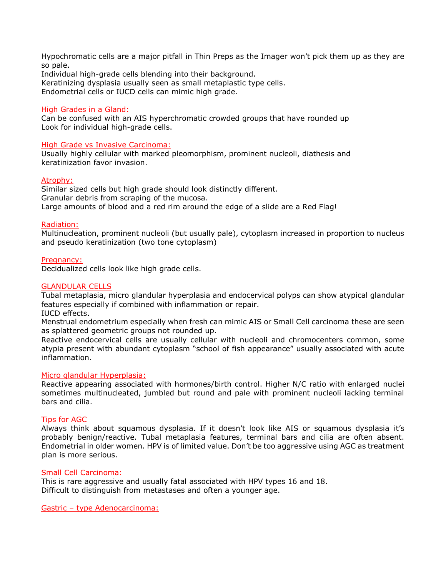Hypochromatic cells are a major pitfall in Thin Preps as the Imager won't pick them up as they are so pale.

Individual high-grade cells blending into their background. Keratinizing dysplasia usually seen as small metaplastic type cells. Endometrial cells or IUCD cells can mimic high grade.

### High Grades in a Gland:

Can be confused with an AIS hyperchromatic crowded groups that have rounded up Look for individual high-grade cells.

### High Grade vs Invasive Carcinoma:

Usually highly cellular with marked pleomorphism, prominent nucleoli, diathesis and keratinization favor invasion.

### Atrophy:

Similar sized cells but high grade should look distinctly different. Granular debris from scraping of the mucosa. Large amounts of blood and a red rim around the edge of a slide are a Red Flag!

### Radiation:

Multinucleation, prominent nucleoli (but usually pale), cytoplasm increased in proportion to nucleus and pseudo keratinization (two tone cytoplasm)

### Pregnancy:

Decidualized cells look like high grade cells.

### GLANDULAR CELLS

Tubal metaplasia, micro glandular hyperplasia and endocervical polyps can show atypical glandular features especially if combined with inflammation or repair. IUCD effects.

Menstrual endometrium especially when fresh can mimic AIS or Small Cell carcinoma these are seen as splattered geometric groups not rounded up.

Reactive endocervical cells are usually cellular with nucleoli and chromocenters common, some atypia present with abundant cytoplasm "school of fish appearance" usually associated with acute inflammation.

### Micro glandular Hyperplasia:

Reactive appearing associated with hormones/birth control. Higher N/C ratio with enlarged nuclei sometimes multinucleated, jumbled but round and pale with prominent nucleoli lacking terminal bars and cilia.

### Tips for AGC

Always think about squamous dysplasia. If it doesn't look like AIS or squamous dysplasia it's probably benign/reactive. Tubal metaplasia features, terminal bars and cilia are often absent. Endometrial in older women. HPV is of limited value. Don't be too aggressive using AGC as treatment plan is more serious.

### Small Cell Carcinoma:

This is rare aggressive and usually fatal associated with HPV types 16 and 18. Difficult to distinguish from metastases and often a younger age.

Gastric – type Adenocarcinoma: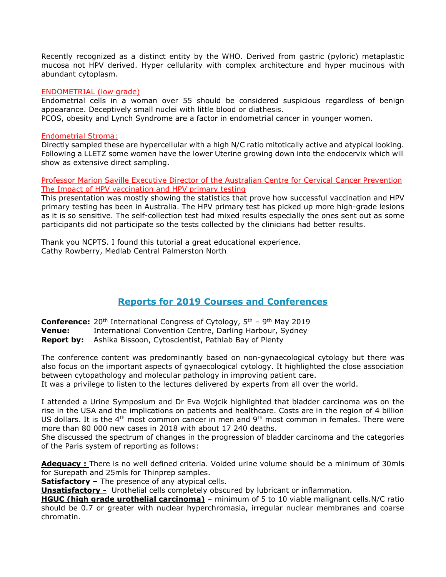Recently recognized as a distinct entity by the WHO. Derived from gastric (pyloric) metaplastic mucosa not HPV derived. Hyper cellularity with complex architecture and hyper mucinous with abundant cytoplasm.

### ENDOMETRIAL (low grade)

Endometrial cells in a woman over 55 should be considered suspicious regardless of benign appearance. Deceptively small nuclei with little blood or diathesis.

PCOS, obesity and Lynch Syndrome are a factor in endometrial cancer in younger women.

### Endometrial Stroma:

Directly sampled these are hypercellular with a high N/C ratio mitotically active and atypical looking. Following a LLETZ some women have the lower Uterine growing down into the endocervix which will show as extensive direct sampling.

Professor Marion Saville Executive Director of the Australian Centre for Cervical Cancer Prevention The Impact of HPV vaccination and HPV primary testing

This presentation was mostly showing the statistics that prove how successful vaccination and HPV primary testing has been in Australia. The HPV primary test has picked up more high-grade lesions as it is so sensitive. The self-collection test had mixed results especially the ones sent out as some participants did not participate so the tests collected by the clinicians had better results.

Thank you NCPTS. I found this tutorial a great educational experience. Cathy Rowberry, Medlab Central Palmerston North

# **Reports for 2019 Courses and Conferences**

**Conference:** 20<sup>th</sup> International Congress of Cytology, 5<sup>th</sup> – 9<sup>th</sup> May 2019 **Venue:** International Convention Centre, Darling Harbour, Sydney **Report by:** Ashika Bissoon, Cytoscientist, Pathlab Bay of Plenty

The conference content was predominantly based on non-gynaecological cytology but there was also focus on the important aspects of gynaecological cytology. It highlighted the close association between cytopathology and molecular pathology in improving patient care. It was a privilege to listen to the lectures delivered by experts from all over the world.

I attended a Urine Symposium and Dr Eva Wojcik highlighted that bladder carcinoma was on the rise in the USA and the implications on patients and healthcare. Costs are in the region of 4 billion US dollars. It is the  $4<sup>th</sup>$  most common cancer in men and  $9<sup>th</sup>$  most common in females. There were more than 80 000 new cases in 2018 with about 17 240 deaths.

She discussed the spectrum of changes in the progression of bladder carcinoma and the categories of the Paris system of reporting as follows:

**Adequacy :** There is no well defined criteria. Voided urine volume should be a minimum of 30mls for Surepath and 25mls for Thinprep samples.

**Satisfactory –** The presence of any atypical cells.

**Unsatisfactory -** Urothelial cells completely obscured by lubricant or inflammation.

**HGUC (high grade urothelial carcinoma)** – minimum of 5 to 10 viable malignant cells.N/C ratio should be 0.7 or greater with nuclear hyperchromasia, irregular nuclear membranes and coarse chromatin.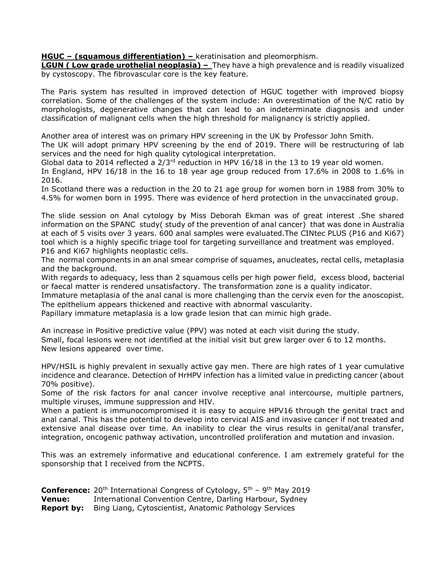**HGUC – (squamous differentiation) –** keratinisation and pleomorphism.

**LGUN ( Low grade urothelial neoplasia) -** They have a high prevalence and is readily visualized by cystoscopy. The fibrovascular core is the key feature.

The Paris system has resulted in improved detection of HGUC together with improved biopsy correlation. Some of the challenges of the system include: An overestimation of the N/C ratio by morphologists, degenerative changes that can lead to an indeterminate diagnosis and under classification of malignant cells when the high threshold for malignancy is strictly applied.

Another area of interest was on primary HPV screening in the UK by Professor John Smith.

The UK will adopt primary HPV screening by the end of 2019. There will be restructuring of lab services and the need for high quality cytological interpretation.

Global data to 2014 reflected a  $2/3$ <sup>rd</sup> reduction in HPV 16/18 in the 13 to 19 year old women.

In England, HPV 16/18 in the 16 to 18 year age group reduced from 17.6% in 2008 to 1.6% in 2016.

In Scotland there was a reduction in the 20 to 21 age group for women born in 1988 from 30% to 4.5% for women born in 1995. There was evidence of herd protection in the unvaccinated group.

The slide session on Anal cytology by Miss Deborah Ekman was of great interest .She shared information on the SPANC study( study of the prevention of anal cancer) that was done in Australia at each of 5 visits over 3 years. 600 anal samples were evaluated.The CINtec PLUS (P16 and Ki67) tool which is a highly specific triage tool for targeting surveillance and treatment was employed. P16 and Ki67 highlights neoplastic cells.

The normal components in an anal smear comprise of squames, anucleates, rectal cells, metaplasia and the background.

With regards to adequacy, less than 2 squamous cells per high power field, excess blood, bacterial or faecal matter is rendered unsatisfactory. The transformation zone is a quality indicator.

Immature metaplasia of the anal canal is more challenging than the cervix even for the anoscopist. The epithelium appears thickened and reactive with abnormal vascularity.

Papillary immature metaplasia is a low grade lesion that can mimic high grade.

An increase in Positive predictive value (PPV) was noted at each visit during the study. Small, focal lesions were not identified at the initial visit but grew larger over 6 to 12 months. New lesions appeared over time.

HPV/HSIL is highly prevalent in sexually active gay men. There are high rates of 1 year cumulative incidence and clearance. Detection of HrHPV infection has a limited value in predicting cancer (about 70% positive).

Some of the risk factors for anal cancer involve receptive anal intercourse, multiple partners, multiple viruses, immune suppression and HIV.

When a patient is immunocompromised it is easy to acquire HPV16 through the genital tract and anal canal. This has the potential to develop into cervical AIS and invasive cancer if not treated and extensive anal disease over time. An inability to clear the virus results in genital/anal transfer, integration, oncogenic pathway activation, uncontrolled proliferation and mutation and invasion.

This was an extremely informative and educational conference. I am extremely grateful for the sponsorship that I received from the NCPTS.

**Conference:** 20<sup>th</sup> International Congress of Cytology, 5<sup>th</sup> – 9<sup>th</sup> May 2019 **Venue:** International Convention Centre, Darling Harbour, Sydney **Report by:** Bing Liang, Cytoscientist, Anatomic Pathology Services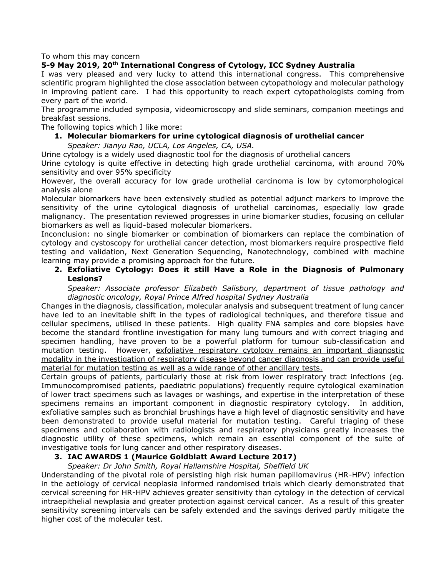To whom this may concern

### **5-9 May 2019, 20th International Congress of Cytology, ICC Sydney Australia**

I was very pleased and very lucky to attend this international congress. This comprehensive scientific program highlighted the close association between cytopathology and molecular pathology in improving patient care. I had this opportunity to reach expert cytopathologists coming from every part of the world.

The programme included symposia, videomicroscopy and slide seminars, companion meetings and breakfast sessions.

The following topics which I like more:

**1. Molecular biomarkers for urine cytological diagnosis of urothelial cancer** *Speaker: Jianyu Rao, UCLA, Los Angeles, CA, USA.*

Urine cytology is a widely used diagnostic tool for the diagnosis of urothelial cancers

Urine cytology is quite effective in detecting high grade urothelial carcinoma, with around 70% sensitivity and over 95% specificity

However, the overall accuracy for low grade urothelial carcinoma is low by cytomorphological analysis alone

Molecular biomarkers have been extensively studied as potential adjunct markers to improve the sensitivity of the urine cytological diagnosis of urothelial carcinomas, especially low grade malignancy. The presentation reviewed progresses in urine biomarker studies, focusing on cellular biomarkers as well as liquid-based molecular biomarkers.

Inconclusion: no single biomarker or combination of biomarkers can replace the combination of cytology and cystoscopy for urothelial cancer detection, most biomarkers require prospective field testing and validation, Next Generation Sequencing, Nanotechnology, combined with machine learning may provide a promising approach for the future.

## **2. Exfoliative Cytology: Does it still Have a Role in the Diagnosis of Pulmonary Lesions?**

*Speaker: Associate professor Elizabeth Salisbury, department of tissue pathology and diagnostic oncology, Royal Prince Alfred hospital Sydney Australia*

Changes in the diagnosis, classification, molecular analysis and subsequent treatment of lung cancer have led to an inevitable shift in the types of radiological techniques, and therefore tissue and cellular specimens, utilised in these patients. High quality FNA samples and core biopsies have become the standard frontline investigation for many lung tumours and with correct triaging and specimen handling, have proven to be a powerful platform for tumour sub-classification and mutation testing. However, exfoliative respiratory cytology remains an important diagnostic modality in the investigation of respiratory disease beyond cancer diagnosis and can provide useful material for mutation testing as well as a wide range of other ancillary tests.

Certain groups of patients, particularly those at risk from lower respiratory tract infections (eg. Immunocompromised patients, paediatric populations) frequently require cytological examination of lower tract specimens such as lavages or washings, and expertise in the interpretation of these specimens remains an important component in diagnostic respiratory cytology. In addition, exfoliative samples such as bronchial brushings have a high level of diagnostic sensitivity and have been demonstrated to provide useful material for mutation testing. Careful triaging of these specimens and collaboration with radiologists and respiratory physicians greatly increases the diagnostic utility of these specimens, which remain an essential component of the suite of investigative tools for lung cancer and other respiratory diseases.

# **3. IAC AWARDS 1 (Maurice Goldblatt Award Lecture 2017)**

*Speaker: Dr John Smith, Royal Hallamshire Hospital, Sheffield UK*

Understanding of the pivotal role of persisting high risk human papillomavirus (HR-HPV) infection in the aetiology of cervical neoplasia informed randomised trials which clearly demonstrated that cervical screening for HR-HPV achieves greater sensitivity than cytology in the detection of cervical intraepithelial newplasia and greater protection against cervical cancer. As a result of this greater sensitivity screening intervals can be safely extended and the savings derived partly mitigate the higher cost of the molecular test.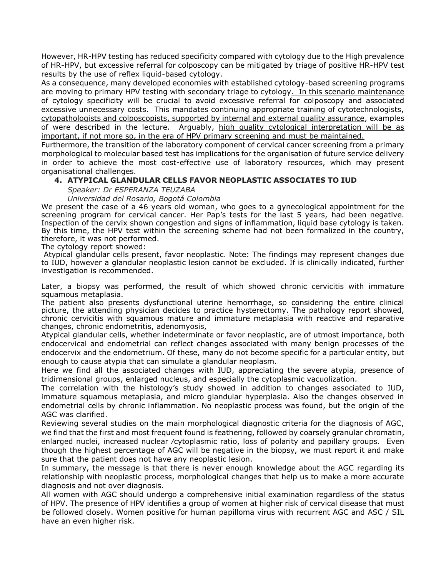However, HR-HPV testing has reduced specificity compared with cytology due to the High prevalence of HR-HPV, but excessive referral for colposcopy can be mitigated by triage of positive HR-HPV test results by the use of reflex liquid-based cytology.

As a consequence, many developed economies with established cytology-based screening programs are moving to primary HPV testing with secondary triage to cytology. In this scenario maintenance of cytology specificity will be crucial to avoid excessive referral for colposcopy and associated excessive unnecessary costs. This mandates continuing appropriate training of cytotechnologists, cytopathologists and colposcopists, supported by internal and external quality assurance, examples of were described in the lecture. Arguably, high quality cytological interpretation will be as important, if not more so, in the era of HPV primary screening and must be maintained.

Furthermore, the transition of the laboratory component of cervical cancer screening from a primary morphological to molecular based test has implications for the organisation of future service delivery in order to achieve the most cost-effective use of laboratory resources, which may present organisational challenges.

# **4. ATYPICAL GLANDULAR CELLS FAVOR NEOPLASTIC ASSOCIATES TO IUD**

*Speaker: Dr ESPERANZA TEUZABA*

*Universidad del Rosario, Bogotá Colombia*

We present the case of a 46 years old woman, who goes to a gynecological appointment for the screening program for cervical cancer. Her Pap's tests for the last 5 years, had been negative. Inspection of the cervix shown congestion and signs of inflammation, liquid base cytology is taken. By this time, the HPV test within the screening scheme had not been formalized in the country, therefore, it was not performed.

The cytology report showed:

Atypical glandular cells present, favor neoplastic. Note: The findings may represent changes due to IUD, however a glandular neoplastic lesion cannot be excluded. If is clinically indicated, further investigation is recommended.

Later, a biopsy was performed, the result of which showed chronic cervicitis with immature squamous metaplasia.

The patient also presents dysfunctional uterine hemorrhage, so considering the entire clinical picture, the attending physician decides to practice hysterectomy. The pathology report showed, chronic cervicitis with squamous mature and immature metaplasia with reactive and reparative changes, chronic endometritis, adenomyosis,

Atypical glandular cells, whether indeterminate or favor neoplastic, are of utmost importance, both endocervical and endometrial can reflect changes associated with many benign processes of the endocervix and the endometrium. Of these, many do not become specific for a particular entity, but enough to cause atypia that can simulate a glandular neoplasm.

Here we find all the associated changes with IUD, appreciating the severe atypia, presence of tridimensional groups, enlarged nucleus, and especially the cytoplasmic vacuolization.

The correlation with the histology's study showed in addition to changes associated to IUD, immature squamous metaplasia, and micro glandular hyperplasia. Also the changes observed in endometrial cells by chronic inflammation. No neoplastic process was found, but the origin of the AGC was clarified.

Reviewing several studies on the main morphological diagnostic criteria for the diagnosis of AGC, we find that the first and most frequent found is feathering, followed by coarsely granular chromatin, enlarged nuclei, increased nuclear ⁄cytoplasmic ratio, loss of polarity and papillary groups. Even though the highest percentage of AGC will be negative in the biopsy, we must report it and make sure that the patient does not have any neoplastic lesion.

In summary, the message is that there is never enough knowledge about the AGC regarding its relationship with neoplastic process, morphological changes that help us to make a more accurate diagnosis and not over diagnosis.

All women with AGC should undergo a comprehensive initial examination regardless of the status of HPV. The presence of HPV identifies a group of women at higher risk of cervical disease that must be followed closely. Women positive for human papilloma virus with recurrent AGC and ASC / SIL have an even higher risk.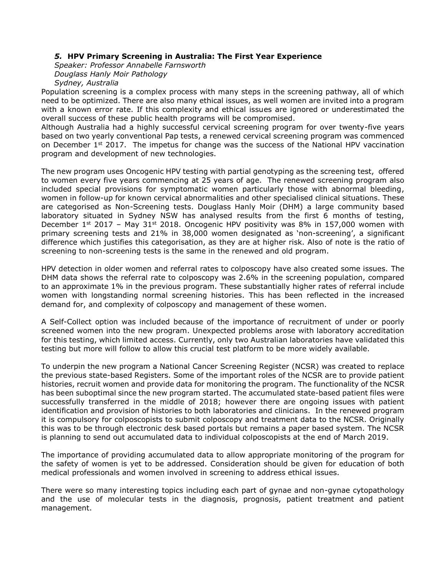## *5.* **HPV Primary Screening in Australia: The First Year Experience**

*Speaker: Professor Annabelle Farnsworth Douglass Hanly Moir Pathology Sydney, Australia*

Population screening is a complex process with many steps in the screening pathway, all of which need to be optimized. There are also many ethical issues, as well women are invited into a program with a known error rate. If this complexity and ethical issues are ignored or underestimated the overall success of these public health programs will be compromised.

Although Australia had a highly successful cervical screening program for over twenty-five years based on two yearly conventional Pap tests, a renewed cervical screening program was commenced on December  $1<sup>st</sup>$  2017. The impetus for change was the success of the National HPV vaccination program and development of new technologies.

The new program uses Oncogenic HPV testing with partial genotyping as the screening test, offered to women every five years commencing at 25 years of age. The renewed screening program also included special provisions for symptomatic women particularly those with abnormal bleeding, women in follow-up for known cervical abnormalities and other specialised clinical situations. These are categorised as Non-Screening tests. Douglass Hanly Moir (DHM) a large community based laboratory situated in Sydney NSW has analysed results from the first 6 months of testing, December  $1^{st}$  2017 – May 31<sup>st</sup> 2018. Oncogenic HPV positivity was 8% in 157,000 women with primary screening tests and 21% in 38,000 women designated as 'non-screening', a significant difference which justifies this categorisation, as they are at higher risk. Also of note is the ratio of screening to non-screening tests is the same in the renewed and old program.

HPV detection in older women and referral rates to colposcopy have also created some issues. The DHM data shows the referral rate to colposcopy was 2.6% in the screening population, compared to an approximate 1% in the previous program. These substantially higher rates of referral include women with longstanding normal screening histories. This has been reflected in the increased demand for, and complexity of colposcopy and management of these women.

A Self-Collect option was included because of the importance of recruitment of under or poorly screened women into the new program. Unexpected problems arose with laboratory accreditation for this testing, which limited access. Currently, only two Australian laboratories have validated this testing but more will follow to allow this crucial test platform to be more widely available.

To underpin the new program a National Cancer Screening Register (NCSR) was created to replace the previous state-based Registers. Some of the important roles of the NCSR are to provide patient histories, recruit women and provide data for monitoring the program. The functionality of the NCSR has been suboptimal since the new program started. The accumulated state-based patient files were successfully transferred in the middle of 2018; however there are ongoing issues with patient identification and provision of histories to both laboratories and clinicians. In the renewed program it is compulsory for colposcopists to submit colposcopy and treatment data to the NCSR. Originally this was to be through electronic desk based portals but remains a paper based system. The NCSR is planning to send out accumulated data to individual colposcopists at the end of March 2019.

The importance of providing accumulated data to allow appropriate monitoring of the program for the safety of women is yet to be addressed. Consideration should be given for education of both medical professionals and women involved in screening to address ethical issues.

There were so many interesting topics including each part of gynae and non-gynae cytopathology and the use of molecular tests in the diagnosis, prognosis, patient treatment and patient management.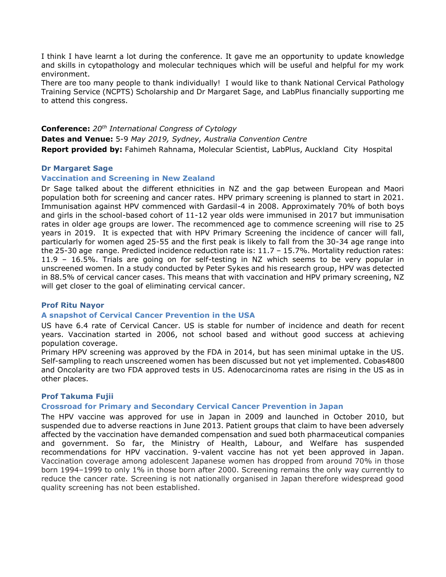I think I have learnt a lot during the conference. It gave me an opportunity to update knowledge and skills in cytopathology and molecular techniques which will be useful and helpful for my work environment.

There are too many people to thank individually! I would like to thank National Cervical Pathology Training Service (NCPTS) Scholarship and Dr Margaret Sage, and LabPlus financially supporting me to attend this congress.

**Conference:** *20th International Congress of Cytology* **Dates and Venue:** 5-9 *May 2019, Sydney, Australia Convention Centre* **Report provided by:** Fahimeh Rahnama, Molecular Scientist, LabPlus, Auckland City Hospital

### **Dr Margaret Sage**

### **Vaccination and Screening in New Zealand**

Dr Sage talked about the different ethnicities in NZ and the gap between European and Maori population both for screening and cancer rates. HPV primary screening is planned to start in 2021. Immunisation against HPV commenced with Gardasil-4 in 2008. Approximately 70% of both boys and girls in the school-based cohort of 11-12 year olds were immunised in 2017 but immunisation rates in older age groups are lower. The recommenced age to commence screening will rise to 25 years in 2019. It is expected that with HPV Primary Screening the incidence of cancer will fall, particularly for women aged 25-55 and the first peak is likely to fall from the 30-34 age range into the 25-30 age range. Predicted incidence reduction rate is: 11.7 – 15.7%. Mortality reduction rates: 11.9 – 16.5%. Trials are going on for self-testing in NZ which seems to be very popular in unscreened women. In a study conducted by Peter Sykes and his research group, HPV was detected in 88.5% of cervical cancer cases. This means that with vaccination and HPV primary screening, NZ will get closer to the goal of eliminating cervical cancer.

### **Prof Ritu Nayor**

### **A snapshot of Cervical Cancer Prevention in the USA**

US have 6.4 rate of Cervical Cancer. US is stable for number of incidence and death for recent years. Vaccination started in 2006, not school based and without good success at achieving population coverage.

Primary HPV screening was approved by the FDA in 2014, but has seen minimal uptake in the US. Self-sampling to reach unscreened women has been discussed but not yet implemented. Cobas4800 and Oncolarity are two FDA approved tests in US. Adenocarcinoma rates are rising in the US as in other places.

### **Prof Takuma Fujii**

### **Crossroad for Primary and Secondary Cervical Cancer Prevention in Japan**

The HPV vaccine was approved for use in Japan in 2009 and launched in October 2010, but suspended due to adverse reactions in June 2013. Patient groups that claim to have been adversely affected by the vaccination have demanded compensation and sued both pharmaceutical companies and government. So far, the Ministry of Health, Labour, and Welfare has suspended recommendations for HPV vaccination. 9-valent vaccine has not yet been approved in Japan. Vaccination coverage among adolescent Japanese women has dropped from around 70% in those born 1994–1999 to only 1% in those born after 2000. Screening remains the only way currently to reduce the cancer rate. Screening is not nationally organised in Japan therefore widespread good quality screening has not been established.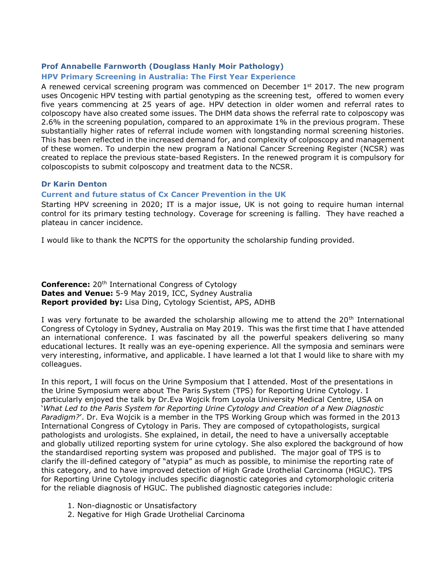# **Prof Annabelle Farnworth (Douglass Hanly Moir Pathology)**

# **HPV Primary Screening in Australia: The First Year Experience**

A renewed cervical screening program was commenced on December 1<sup>st</sup> 2017. The new program uses Oncogenic HPV testing with partial genotyping as the screening test, offered to women every five years commencing at 25 years of age. HPV detection in older women and referral rates to colposcopy have also created some issues. The DHM data shows the referral rate to colposcopy was 2.6% in the screening population, compared to an approximate 1% in the previous program. These substantially higher rates of referral include women with longstanding normal screening histories. This has been reflected in the increased demand for, and complexity of colposcopy and management of these women. To underpin the new program a National Cancer Screening Register (NCSR) was created to replace the previous state-based Registers. In the renewed program it is compulsory for colposcopists to submit colposcopy and treatment data to the NCSR.

### **Dr Karin Denton**

# **Current and future status of Cx Cancer Prevention in the UK**

Starting HPV screening in 2020; IT is a major issue, UK is not going to require human internal control for its primary testing technology. Coverage for screening is falling. They have reached a plateau in cancer incidence.

I would like to thank the NCPTS for the opportunity the scholarship funding provided.

**Conference:** 20<sup>th</sup> International Congress of Cytology **Dates and Venue:** 5-9 May 2019, ICC, Sydney Australia **Report provided by:** Lisa Ding, Cytology Scientist, APS, ADHB

I was very fortunate to be awarded the scholarship allowing me to attend the  $20<sup>th</sup>$  International Congress of Cytology in Sydney, Australia on May 2019. This was the first time that I have attended an international conference. I was fascinated by all the powerful speakers delivering so many educational lectures. It really was an eye-opening experience. All the symposia and seminars were very interesting, informative, and applicable. I have learned a lot that I would like to share with my colleagues.

In this report, I will focus on the Urine Symposium that I attended. Most of the presentations in the Urine Symposium were about The Paris System (TPS) for Reporting Urine Cytology. I particularly enjoyed the talk by Dr.Eva Wojcik from Loyola University Medical Centre, USA on '*What Led to the Paris System for Reporting Urine Cytology and Creation of a New Diagnostic Paradigm?*'. Dr. Eva Wojcik is a member in the TPS Working Group which was formed in the 2013 International Congress of Cytology in Paris. They are composed of cytopathologists, surgical pathologists and urologists. She explained, in detail, the need to have a universally acceptable and globally utilized reporting system for urine cytology. She also explored the background of how the standardised reporting system was proposed and published. The major goal of TPS is to clarify the ill-defined category of "atypia" as much as possible, to minimise the reporting rate of this category, and to have improved detection of High Grade Urothelial Carcinoma (HGUC). TPS for Reporting Urine Cytology includes specific diagnostic categories and cytomorphologic criteria for the reliable diagnosis of HGUC. The published diagnostic categories include:

- 1. Non-diagnostic or Unsatisfactory
- 2. Negative for High Grade Urothelial Carcinoma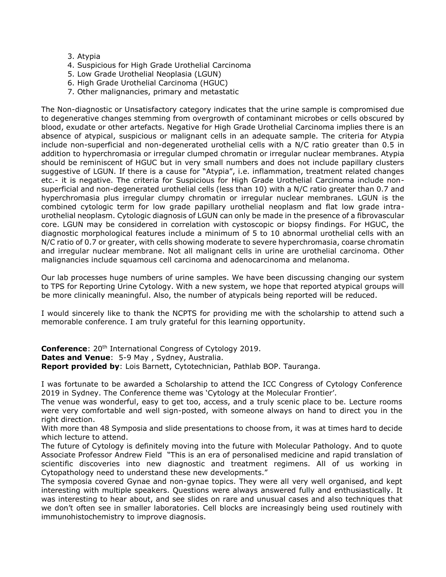- 3. Atypia
- 4. Suspicious for High Grade Urothelial Carcinoma
- 5. Low Grade Urothelial Neoplasia (LGUN)
- 6. High Grade Urothelial Carcinoma (HGUC)
- 7. Other malignancies, primary and metastatic

The Non-diagnostic or Unsatisfactory category indicates that the urine sample is compromised due to degenerative changes stemming from overgrowth of contaminant microbes or cells obscured by blood, exudate or other artefacts. Negative for High Grade Urothelial Carcinoma implies there is an absence of atypical, suspicious or malignant cells in an adequate sample. The criteria for Atypia include non-superficial and non-degenerated urothelial cells with a N/C ratio greater than 0.5 in addition to hyperchromasia or irregular clumped chromatin or irregular nuclear membranes. Atypia should be reminiscent of HGUC but in very small numbers and does not include papillary clusters suggestive of LGUN. If there is a cause for "Atypia", i.e. inflammation, treatment related changes etc.- it is negative. The criteria for Suspicious for High Grade Urothelial Carcinoma include nonsuperficial and non-degenerated urothelial cells (less than 10) with a N/C ratio greater than 0.7 and hyperchromasia plus irregular clumpy chromatin or irregular nuclear membranes. LGUN is the combined cytologic term for low grade papillary urothelial neoplasm and flat low grade intraurothelial neoplasm. Cytologic diagnosis of LGUN can only be made in the presence of a fibrovascular core. LGUN may be considered in correlation with cystoscopic or biopsy findings. For HGUC, the diagnostic morphological features include a minimum of 5 to 10 abnormal urothelial cells with an N/C ratio of 0.7 or greater, with cells showing moderate to severe hyperchromasia, coarse chromatin and irregular nuclear membrane. Not all malignant cells in urine are urothelial carcinoma. Other malignancies include squamous cell carcinoma and adenocarcinoma and melanoma.

Our lab processes huge numbers of urine samples. We have been discussing changing our system to TPS for Reporting Urine Cytology. With a new system, we hope that reported atypical groups will be more clinically meaningful. Also, the number of atypicals being reported will be reduced.

I would sincerely like to thank the NCPTS for providing me with the scholarship to attend such a memorable conference. I am truly grateful for this learning opportunity.

**Conference:** 20<sup>th</sup> International Congress of Cytology 2019.

**Dates and Venue**: 5-9 May , Sydney, Australia.

**Report provided by**: Lois Barnett, Cytotechnician, Pathlab BOP. Tauranga.

I was fortunate to be awarded a Scholarship to attend the ICC Congress of Cytology Conference 2019 in Sydney. The Conference theme was 'Cytology at the Molecular Frontier'.

The venue was wonderful, easy to get too, access, and a truly scenic place to be. Lecture rooms were very comfortable and well sign-posted, with someone always on hand to direct you in the right direction.

With more than 48 Symposia and slide presentations to choose from, it was at times hard to decide which lecture to attend.

The future of Cytology is definitely moving into the future with Molecular Pathology. And to quote Associate Professor Andrew Field "This is an era of personalised medicine and rapid translation of scientific discoveries into new diagnostic and treatment regimens. All of us working in Cytopathology need to understand these new developments."

The symposia covered Gynae and non-gynae topics. They were all very well organised, and kept interesting with multiple speakers. Questions were always answered fully and enthusiastically. It was interesting to hear about, and see slides on rare and unusual cases and also techniques that we don't often see in smaller laboratories. Cell blocks are increasingly being used routinely with immunohistochemistry to improve diagnosis.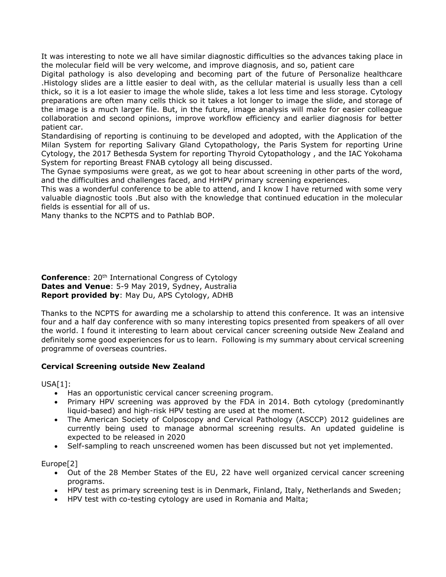It was interesting to note we all have similar diagnostic difficulties so the advances taking place in the molecular field will be very welcome, and improve diagnosis, and so, patient care

Digital pathology is also developing and becoming part of the future of Personalize healthcare .Histology slides are a little easier to deal with, as the cellular material is usually less than a cell thick, so it is a lot easier to image the whole slide, takes a lot less time and less storage. Cytology preparations are often many cells thick so it takes a lot longer to image the slide, and storage of the image is a much larger file. But, in the future, image analysis will make for easier colleague collaboration and second opinions, improve workflow efficiency and earlier diagnosis for better patient car.

Standardising of reporting is continuing to be developed and adopted, with the Application of the Milan System for reporting Salivary Gland Cytopathology, the Paris System for reporting Urine Cytology, the 2017 Bethesda System for reporting Thyroid Cytopathology , and the IAC Yokohama System for reporting Breast FNAB cytology all being discussed.

The Gynae symposiums were great, as we got to hear about screening in other parts of the word, and the difficulties and challenges faced, and HrHPV primary screening experiences.

This was a wonderful conference to be able to attend, and I know I have returned with some very valuable diagnostic tools .But also with the knowledge that continued education in the molecular fields is essential for all of us.

Many thanks to the NCPTS and to Pathlab BOP.

**Conference:** 20<sup>th</sup> International Congress of Cytology **Dates and Venue**: 5-9 May 2019, Sydney, Australia **Report provided by**: May Du, APS Cytology, ADHB

Thanks to the NCPTS for awarding me a scholarship to attend this conference. It was an intensive four and a half day conference with so many interesting topics presented from speakers of all over the world. I found it interesting to learn about cervical cancer screening outside New Zealand and definitely some good experiences for us to learn. Following is my summary about cervical screening programme of overseas countries.

# **Cervical Screening outside New Zealand**

USA[1]:

- Has an opportunistic cervical cancer screening program.
- Primary HPV screening was approved by the FDA in 2014. Both cytology (predominantly liquid-based) and high-risk HPV testing are used at the moment.
- The American Society of Colposcopy and Cervical Pathology (ASCCP) 2012 guidelines are currently being used to manage abnormal screening results. An updated guideline is expected to be released in 2020
- Self-sampling to reach unscreened women has been discussed but not yet implemented.

Europe[2]

- Out of the 28 Member States of the EU, 22 have well organized cervical cancer screening programs.
- HPV test as primary screening test is in Denmark, Finland, Italy, Netherlands and Sweden;
- HPV test with co-testing cytology are used in Romania and Malta;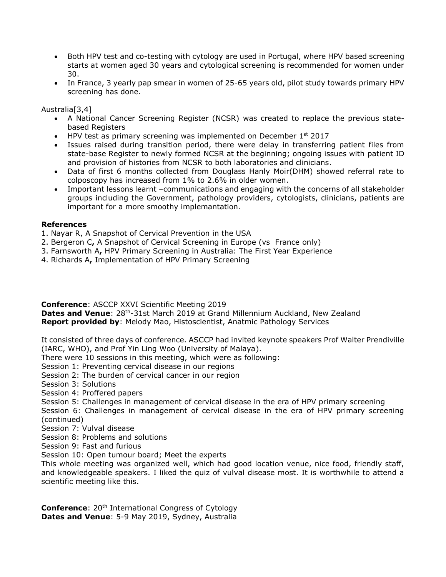- Both HPV test and co-testing with cytology are used in Portugal, where HPV based screening starts at women aged 30 years and cytological screening is recommended for women under 30.
- In France, 3 yearly pap smear in women of 25-65 years old, pilot study towards primary HPV screening has done.

Australia[3,4]

- A National Cancer Screening Register (NCSR) was created to replace the previous statebased Registers
- $\bullet$  HPV test as primary screening was implemented on December 1st 2017
- Issues raised during transition period, there were delay in transferring patient files from state-base Register to newly formed NCSR at the beginning; ongoing issues with patient ID and provision of histories from NCSR to both laboratories and clinicians.
- Data of first 6 months collected from Douglass Hanly Moir(DHM) showed referral rate to colposcopy has increased from 1% to 2.6% in older women.
- Important lessons learnt –communications and engaging with the concerns of all stakeholder groups including the Government, pathology providers, cytologists, clinicians, patients are important for a more smoothy implemantation.

### **References**

- 1. Nayar R, A Snapshot of Cervical Prevention in the USA
- 2. Bergeron C**,** A Snapshot of Cervical Screening in Europe (vs France only)
- 3. Farnsworth A**,** HPV Primary Screening in Australia: The First Year Experience
- 4. Richards A**,** Implementation of HPV Primary Screening

**Conference**: ASCCP XXVI Scientific Meeting 2019

Dates and Venue: 28<sup>th</sup>-31st March 2019 at Grand Millennium Auckland, New Zealand **Report provided by**: Melody Mao, Histoscientist, Anatmic Pathology Services

It consisted of three days of conference. ASCCP had invited keynote speakers Prof Walter Prendiville (IARC, WHO), and Prof Yin Ling Woo (University of Malaya).

There were 10 sessions in this meeting, which were as following:

Session 1: Preventing cervical disease in our regions

Session 2: The burden of cervical cancer in our region

Session 3: Solutions

Session 4: Proffered papers

Session 5: Challenges in management of cervical disease in the era of HPV primary screening

Session 6: Challenges in management of cervical disease in the era of HPV primary screening (continued)

- Session 7: Vulval disease
- Session 8: Problems and solutions

Session 9: Fast and furious

Session 10: Open tumour board; Meet the experts

This whole meeting was organized well, which had good location venue, nice food, friendly staff, and knowledgeable speakers. I liked the quiz of vulval disease most. It is worthwhile to attend a scientific meeting like this.

**Conference:** 20<sup>th</sup> International Congress of Cytology **Dates and Venue**: 5-9 May 2019, Sydney, Australia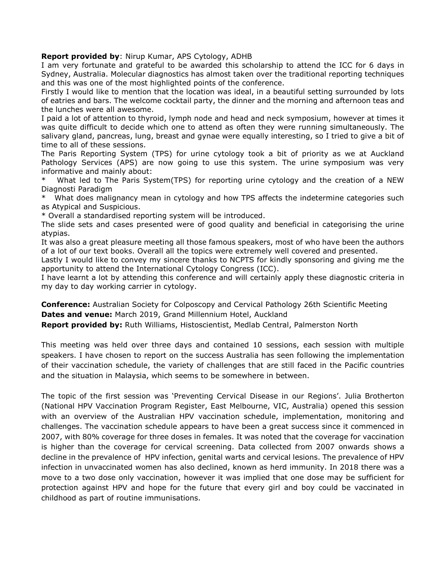### **Report provided by**: Nirup Kumar, APS Cytology, ADHB

I am very fortunate and grateful to be awarded this scholarship to attend the ICC for 6 days in Sydney, Australia. Molecular diagnostics has almost taken over the traditional reporting techniques and this was one of the most highlighted points of the conference.

Firstly I would like to mention that the location was ideal, in a beautiful setting surrounded by lots of eatries and bars. The welcome cocktail party, the dinner and the morning and afternoon teas and the lunches were all awesome.

I paid a lot of attention to thyroid, lymph node and head and neck symposium, however at times it was quite difficult to decide which one to attend as often they were running simultaneously. The salivary gland, pancreas, lung, breast and gynae were equally interesting, so I tried to give a bit of time to all of these sessions.

The Paris Reporting System (TPS) for urine cytology took a bit of priority as we at Auckland Pathology Services (APS) are now going to use this system. The urine symposium was very informative and mainly about:

What led to The Paris System(TPS) for reporting urine cytology and the creation of a NEW Diagnosti Paradigm

What does malignancy mean in cytology and how TPS affects the indetermine categories such as Atypical and Suspicious.

\* Overall a standardised reporting system will be introduced.

The slide sets and cases presented were of good quality and beneficial in categorising the urine atypias.

It was also a great pleasure meeting all those famous speakers, most of who have been the authors of a lot of our text books. Overall all the topics were extremely well covered and presented.

Lastly I would like to convey my sincere thanks to NCPTS for kindly sponsoring and giving me the apportunity to attend the International Cytology Congress (ICC).

I have learnt a lot by attending this conference and will certainly apply these diagnostic criteria in my day to day working carrier in cytology.

**Conference:** Australian Society for Colposcopy and Cervical Pathology 26th Scientific Meeting **Dates and venue:** March 2019, Grand Millennium Hotel, Auckland

**Report provided by:** Ruth Williams, Histoscientist, Medlab Central, Palmerston North

This meeting was held over three days and contained 10 sessions, each session with multiple speakers. I have chosen to report on the success Australia has seen following the implementation of their vaccination schedule, the variety of challenges that are still faced in the Pacific countries and the situation in Malaysia, which seems to be somewhere in between.

The topic of the first session was 'Preventing Cervical Disease in our Regions'. Julia Brotherton (National HPV Vaccination Program Register, East Melbourne, VIC, Australia) opened this session with an overview of the Australian HPV vaccination schedule, implementation, monitoring and challenges. The vaccination schedule appears to have been a great success since it commenced in 2007, with 80% coverage for three doses in females. It was noted that the coverage for vaccination is higher than the coverage for cervical screening. Data collected from 2007 onwards shows a decline in the prevalence of HPV infection, genital warts and cervical lesions. The prevalence of HPV infection in unvaccinated women has also declined, known as herd immunity. In 2018 there was a move to a two dose only vaccination, however it was implied that one dose may be sufficient for protection against HPV and hope for the future that every girl and boy could be vaccinated in childhood as part of routine immunisations.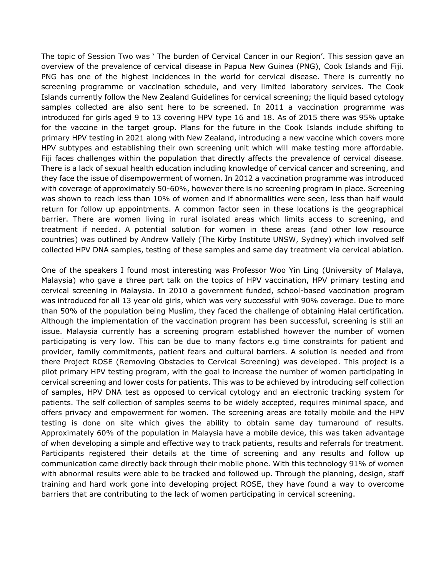The topic of Session Two was ' The burden of Cervical Cancer in our Region'. This session gave an overview of the prevalence of cervical disease in Papua New Guinea (PNG), Cook Islands and Fiji. PNG has one of the highest incidences in the world for cervical disease. There is currently no screening programme or vaccination schedule, and very limited laboratory services. The Cook Islands currently follow the New Zealand Guidelines for cervical screening; the liquid based cytology samples collected are also sent here to be screened. In 2011 a vaccination programme was introduced for girls aged 9 to 13 covering HPV type 16 and 18. As of 2015 there was 95% uptake for the vaccine in the target group. Plans for the future in the Cook Islands include shifting to primary HPV testing in 2021 along with New Zealand, introducing a new vaccine which covers more HPV subtypes and establishing their own screening unit which will make testing more affordable. Fiji faces challenges within the population that directly affects the prevalence of cervical disease. There is a lack of sexual health education including knowledge of cervical cancer and screening, and they face the issue of disempowerment of women. In 2012 a vaccination programme was introduced with coverage of approximately 50-60%, however there is no screening program in place. Screening was shown to reach less than 10% of women and if abnormalities were seen, less than half would return for follow up appointments. A common factor seen in these locations is the geographical barrier. There are women living in rural isolated areas which limits access to screening, and treatment if needed. A potential solution for women in these areas (and other low resource countries) was outlined by Andrew Vallely (The Kirby Institute UNSW, Sydney) which involved self collected HPV DNA samples, testing of these samples and same day treatment via cervical ablation.

One of the speakers I found most interesting was Professor Woo Yin Ling (University of Malaya, Malaysia) who gave a three part talk on the topics of HPV vaccination, HPV primary testing and cervical screening in Malaysia. In 2010 a government funded, school-based vaccination program was introduced for all 13 year old girls, which was very successful with 90% coverage. Due to more than 50% of the population being Muslim, they faced the challenge of obtaining Halal certification. Although the implementation of the vaccination program has been successful, screening is still an issue. Malaysia currently has a screening program established however the number of women participating is very low. This can be due to many factors e.g time constraints for patient and provider, family commitments, patient fears and cultural barriers. A solution is needed and from there Project ROSE (Removing Obstacles to Cervical Screening) was developed. This project is a pilot primary HPV testing program, with the goal to increase the number of women participating in cervical screening and lower costs for patients. This was to be achieved by introducing self collection of samples, HPV DNA test as opposed to cervical cytology and an electronic tracking system for patients. The self collection of samples seems to be widely accepted, requires minimal space, and offers privacy and empowerment for women. The screening areas are totally mobile and the HPV testing is done on site which gives the ability to obtain same day turnaround of results. Approximately 60% of the population in Malaysia have a mobile device, this was taken advantage of when developing a simple and effective way to track patients, results and referrals for treatment. Participants registered their details at the time of screening and any results and follow up communication came directly back through their mobile phone. With this technology 91% of women with abnormal results were able to be tracked and followed up. Through the planning, design, staff training and hard work gone into developing project ROSE, they have found a way to overcome barriers that are contributing to the lack of women participating in cervical screening.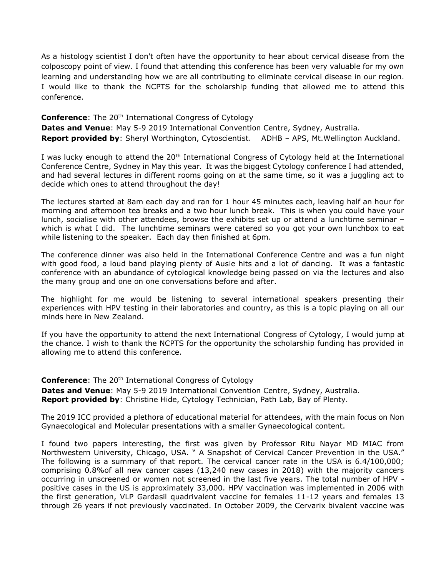As a histology scientist I don't often have the opportunity to hear about cervical disease from the colposcopy point of view. I found that attending this conference has been very valuable for my own learning and understanding how we are all contributing to eliminate cervical disease in our region. I would like to thank the NCPTS for the scholarship funding that allowed me to attend this conference.

**Conference:** The 20<sup>th</sup> International Congress of Cytology **Dates and Venue**: May 5-9 2019 International Convention Centre, Sydney, Australia. **Report provided by**: Sheryl Worthington, Cytoscientist. ADHB – APS, Mt.Wellington Auckland.

I was lucky enough to attend the 20<sup>th</sup> International Congress of Cytology held at the International Conference Centre, Sydney in May this year. It was the biggest Cytology conference I had attended, and had several lectures in different rooms going on at the same time, so it was a juggling act to decide which ones to attend throughout the day!

The lectures started at 8am each day and ran for 1 hour 45 minutes each, leaving half an hour for morning and afternoon tea breaks and a two hour lunch break. This is when you could have your lunch, socialise with other attendees, browse the exhibits set up or attend a lunchtime seminar – which is what I did. The lunchtime seminars were catered so you got your own lunchbox to eat while listening to the speaker. Each day then finished at 6pm.

The conference dinner was also held in the International Conference Centre and was a fun night with good food, a loud band playing plenty of Ausie hits and a lot of dancing. It was a fantastic conference with an abundance of cytological knowledge being passed on via the lectures and also the many group and one on one conversations before and after.

The highlight for me would be listening to several international speakers presenting their experiences with HPV testing in their laboratories and country, as this is a topic playing on all our minds here in New Zealand.

If you have the opportunity to attend the next International Congress of Cytology, I would jump at the chance. I wish to thank the NCPTS for the opportunity the scholarship funding has provided in allowing me to attend this conference.

**Conference:** The 20<sup>th</sup> International Congress of Cytology **Dates and Venue**: May 5-9 2019 International Convention Centre, Sydney, Australia. **Report provided by**: Christine Hide, Cytology Technician, Path Lab, Bay of Plenty.

The 2019 ICC provided a plethora of educational material for attendees, with the main focus on Non Gynaecological and Molecular presentations with a smaller Gynaecological content.

I found two papers interesting, the first was given by Professor Ritu Nayar MD MIAC from Northwestern University, Chicago, USA. " A Snapshot of Cervical Cancer Prevention in the USA." The following is a summary of that report. The cervical cancer rate in the USA is 6.4/100,000; comprising 0.8%of all new cancer cases (13,240 new cases in 2018) with the majority cancers occurring in unscreened or women not screened in the last five years. The total number of HPV positive cases in the US is approximately 33,000. HPV vaccination was implemented in 2006 with the first generation, VLP Gardasil quadrivalent vaccine for females 11-12 years and females 13 through 26 years if not previously vaccinated. In October 2009, the Cervarix bivalent vaccine was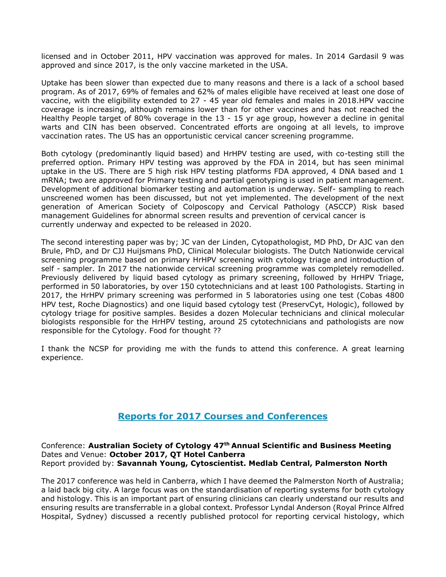licensed and in October 2011, HPV vaccination was approved for males. In 2014 Gardasil 9 was approved and since 2017, is the only vaccine marketed in the USA.

Uptake has been slower than expected due to many reasons and there is a lack of a school based program. As of 2017, 69% of females and 62% of males eligible have received at least one dose of vaccine, with the eligibility extended to 27 - 45 year old females and males in 2018.HPV vaccine coverage is increasing, although remains lower than for other vaccines and has not reached the Healthy People target of 80% coverage in the 13 - 15 yr age group, however a decline in genital warts and CIN has been observed. Concentrated efforts are ongoing at all levels, to improve vaccination rates. The US has an opportunistic cervical cancer screening programme.

Both cytology (predominantly liquid based) and HrHPV testing are used, with co-testing still the preferred option. Primary HPV testing was approved by the FDA in 2014, but has seen minimal uptake in the US. There are 5 high risk HPV testing platforms FDA approved, 4 DNA based and 1 mRNA; two are approved for Primary testing and partial genotyping is used in patient management. Development of additional biomarker testing and automation is underway. Self- sampling to reach unscreened women has been discussed, but not yet implemented. The development of the next generation of American Society of Colposcopy and Cervical Pathology (ASCCP) Risk based management Guidelines for abnormal screen results and prevention of cervical cancer is currently underway and expected to be released in 2020.

The second interesting paper was by; JC van der Linden, Cytopathologist, MD PhD, Dr AJC van den Brule, PhD, and Dr CJJ Huijsmans PhD, Clinical Molecular biologists. The Dutch Nationwide cervical screening programme based on primary HrHPV screening with cytology triage and introduction of self - sampler. In 2017 the nationwide cervical screening programme was completely remodelled. Previously delivered by liquid based cytology as primary screening, followed by HrHPV Triage, performed in 50 laboratories, by over 150 cytotechnicians and at least 100 Pathologists. Starting in 2017, the HrHPV primary screening was performed in 5 laboratories using one test (Cobas 4800 HPV test, Roche Diagnostics) and one liquid based cytology test (PreservCyt, Hologic), followed by cytology triage for positive samples. Besides a dozen Molecular technicians and clinical molecular biologists responsible for the HrHPV testing, around 25 cytotechnicians and pathologists are now responsible for the Cytology. Food for thought ??

I thank the NCSP for providing me with the funds to attend this conference. A great learning experience.

# **Reports for 2017 Courses and Conferences**

Conference: **Australian Society of Cytology 47th Annual Scientific and Business Meeting** Dates and Venue: **October 2017, QT Hotel Canberra** Report provided by: **Savannah Young, Cytoscientist. Medlab Central, Palmerston North**

The 2017 conference was held in Canberra, which I have deemed the Palmerston North of Australia; a laid back big city. A large focus was on the standardisation of reporting systems for both cytology and histology. This is an important part of ensuring clinicians can clearly understand our results and ensuring results are transferrable in a global context. Professor Lyndal Anderson (Royal Prince Alfred Hospital, Sydney) discussed a recently published protocol for reporting cervical histology, which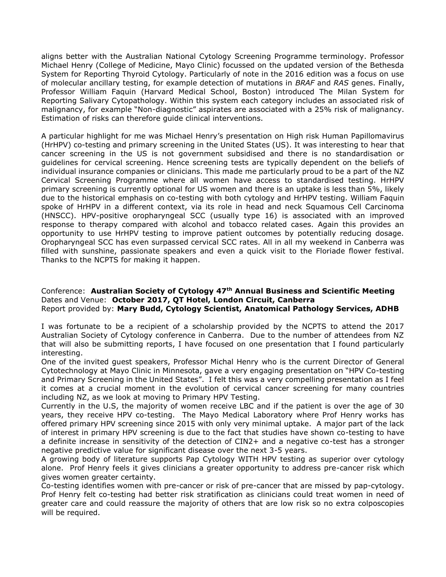aligns better with the Australian National Cytology Screening Programme terminology. Professor Michael Henry (College of Medicine, Mayo Clinic) focussed on the updated version of the Bethesda System for Reporting Thyroid Cytology. Particularly of note in the 2016 edition was a focus on use of molecular ancillary testing, for example detection of mutations in *BRAF* and *RAS* genes. Finally, Professor William Faquin (Harvard Medical School, Boston) introduced The Milan System for Reporting Salivary Cytopathology. Within this system each category includes an associated risk of malignancy, for example "Non-diagnostic" aspirates are associated with a 25% risk of malignancy. Estimation of risks can therefore guide clinical interventions.

A particular highlight for me was Michael Henry's presentation on High risk Human Papillomavirus (HrHPV) co-testing and primary screening in the United States (US). It was interesting to hear that cancer screening in the US is not government subsidised and there is no standardisation or guidelines for cervical screening. Hence screening tests are typically dependent on the beliefs of individual insurance companies or clinicians. This made me particularly proud to be a part of the NZ Cervical Screening Programme where all women have access to standardised testing. HrHPV primary screening is currently optional for US women and there is an uptake is less than 5%, likely due to the historical emphasis on co-testing with both cytology and HrHPV testing. William Faquin spoke of HrHPV in a different context, via its role in head and neck Squamous Cell Carcinoma (HNSCC). HPV-positive oropharyngeal SCC (usually type 16) is associated with an improved response to therapy compared with alcohol and tobacco related cases. Again this provides an opportunity to use HrHPV testing to improve patient outcomes by potentially reducing dosage. Oropharyngeal SCC has even surpassed cervical SCC rates. All in all my weekend in Canberra was filled with sunshine, passionate speakers and even a quick visit to the Floriade flower festival. Thanks to the NCPTS for making it happen.

Conference: **Australian Society of Cytology 47th Annual Business and Scientific Meeting** Dates and Venue: **October 2017, QT Hotel, London Circuit, Canberra** Report provided by: **Mary Budd, Cytology Scientist, Anatomical Pathology Services, ADHB**

I was fortunate to be a recipient of a scholarship provided by the NCPTS to attend the 2017 Australian Society of Cytology conference in Canberra. Due to the number of attendees from NZ that will also be submitting reports, I have focused on one presentation that I found particularly interesting.

One of the invited guest speakers, Professor Michal Henry who is the current Director of General Cytotechnology at Mayo Clinic in Minnesota, gave a very engaging presentation on "HPV Co-testing and Primary Screening in the United States". I felt this was a very compelling presentation as I feel it comes at a crucial moment in the evolution of cervical cancer screening for many countries including NZ, as we look at moving to Primary HPV Testing.

Currently in the U.S, the majority of women receive LBC and if the patient is over the age of 30 years, they receive HPV co-testing. The Mayo Medical Laboratory where Prof Henry works has offered primary HPV screening since 2015 with only very minimal uptake. A major part of the lack of interest in primary HPV screening is due to the fact that studies have shown co-testing to have a definite increase in sensitivity of the detection of CIN2+ and a negative co-test has a stronger negative predictive value for significant disease over the next 3-5 years.

A growing body of literature supports Pap Cytology WITH HPV testing as superior over cytology alone. Prof Henry feels it gives clinicians a greater opportunity to address pre-cancer risk which gives women greater certainty.

Co-testing identifies women with pre-cancer or risk of pre-cancer that are missed by pap-cytology. Prof Henry felt co-testing had better risk stratification as clinicians could treat women in need of greater care and could reassure the majority of others that are low risk so no extra colposcopies will be required.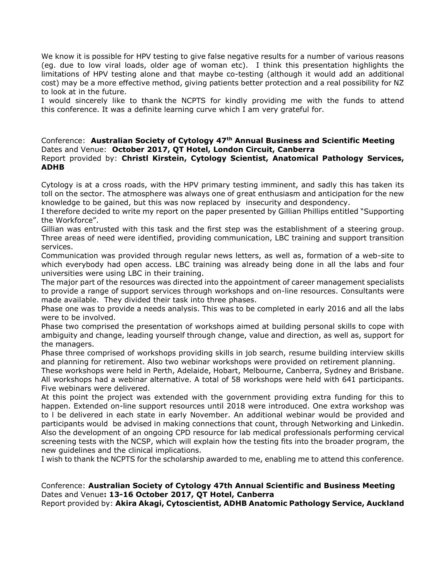We know it is possible for HPV testing to give false negative results for a number of various reasons (eg. due to low viral loads, older age of woman etc). I think this presentation highlights the limitations of HPV testing alone and that maybe co-testing (although it would add an additional cost) may be a more effective method, giving patients better protection and a real possibility for NZ to look at in the future.

I would sincerely like to thank the NCPTS for kindly providing me with the funds to attend this conference. It was a definite learning curve which I am very grateful for.

### Conference: **Australian Society of Cytology 47th Annual Business and Scientific Meeting** Dates and Venue: **October 2017, QT Hotel, London Circuit, Canberra** Report provided by: **Christl Kirstein, Cytology Scientist, Anatomical Pathology Services, ADHB**

Cytology is at a cross roads, with the HPV primary testing imminent, and sadly this has taken its toll on the sector. The atmosphere was always one of great enthusiasm and anticipation for the new knowledge to be gained, but this was now replaced by insecurity and despondency.

I therefore decided to write my report on the paper presented by Gillian Phillips entitled "Supporting the Workforce".

Gillian was entrusted with this task and the first step was the establishment of a steering group. Three areas of need were identified, providing communication, LBC training and support transition services.

Communication was provided through regular news letters, as well as, formation of a web-site to which everybody had open access. LBC training was already being done in all the labs and four universities were using LBC in their training.

The major part of the resources was directed into the appointment of career management specialists to provide a range of support services through workshops and on-line resources. Consultants were made available. They divided their task into three phases.

Phase one was to provide a needs analysis. This was to be completed in early 2016 and all the labs were to be involved.

Phase two comprised the presentation of workshops aimed at building personal skills to cope with ambiguity and change, leading yourself through change, value and direction, as well as, support for the managers.

Phase three comprised of workshops providing skills in job search, resume building interview skills and planning for retirement. Also two webinar workshops were provided on retirement planning.

These workshops were held in Perth, Adelaide, Hobart, Melbourne, Canberra, Sydney and Brisbane. All workshops had a webinar alternative. A total of 58 workshops were held with 641 participants. Five webinars were delivered.

At this point the project was extended with the government providing extra funding for this to happen. Extended on-line support resources until 2018 were introduced. One extra workshop was to l be delivered in each state in early November. An additional webinar would be provided and participants would be advised in making connections that count, through Networking and Linkedin. Also the development of an ongoing CPD resource for lab medical professionals performing cervical screening tests with the NCSP, which will explain how the testing fits into the broader program, the new guidelines and the clinical implications.

I wish to thank the NCPTS for the scholarship awarded to me, enabling me to attend this conference.

# Conference: **Australian Society of Cytology 47th Annual Scientific and Business Meeting**  Dates and Venue**: 13-16 October 2017, QT Hotel, Canberra**

Report provided by: **Akira Akagi, Cytoscientist, ADHB Anatomic Pathology Service, Auckland**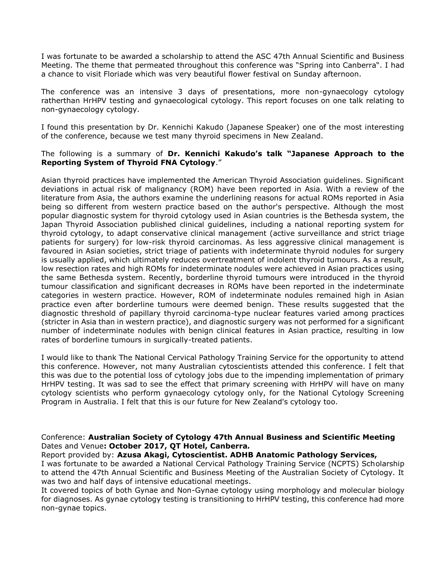I was fortunate to be awarded a scholarship to attend the ASC 47th Annual Scientific and Business Meeting. The theme that permeated throughout this conference was "Spring into Canberra". I had a chance to visit Floriade which was very beautiful flower festival on Sunday afternoon.

The conference was an intensive 3 days of presentations, more non-gynaecology cytology ratherthan HrHPV testing and gynaecological cytology. This report focuses on one talk relating to non-gynaecology cytology.

I found this presentation by Dr. Kennichi Kakudo (Japanese Speaker) one of the most interesting of the conference, because we test many thyroid specimens in New Zealand.

### The following is a summary of **Dr. Kennichi Kakudo's talk "Japanese Approach to the Reporting System of Thyroid FNA Cytology**."

Asian thyroid practices have implemented the American Thyroid Association guidelines. Significant deviations in actual risk of malignancy (ROM) have been reported in Asia. With a review of the literature from Asia, the authors examine the underlining reasons for actual ROMs reported in Asia being so different from western practice based on the author's perspective. Although the most popular diagnostic system for thyroid cytology used in Asian countries is the Bethesda system, the Japan Thyroid Association published clinical guidelines, including a national reporting system for thyroid cytology, to adapt conservative clinical management (active surveillance and strict triage patients for surgery) for low-risk thyroid carcinomas. As less aggressive clinical management is favoured in Asian societies, strict triage of patients with indeterminate thyroid nodules for surgery is usually applied, which ultimately reduces overtreatment of indolent thyroid tumours. As a result, low resection rates and high ROMs for indeterminate nodules were achieved in Asian practices using the same Bethesda system. Recently, borderline thyroid tumours were introduced in the thyroid tumour classification and significant decreases in ROMs have been reported in the indeterminate categories in western practice. However, ROM of indeterminate nodules remained high in Asian practice even after borderline tumours were deemed benign. These results suggested that the diagnostic threshold of papillary thyroid carcinoma-type nuclear features varied among practices (stricter in Asia than in western practice), and diagnostic surgery was not performed for a significant number of indeterminate nodules with benign clinical features in Asian practice, resulting in low rates of borderline tumours in surgically-treated patients.

I would like to thank The National Cervical Pathology Training Service for the opportunity to attend this conference. However, not many Australian cytoscientists attended this conference. I felt that this was due to the potential loss of cytology jobs due to the impending implementation of primary HrHPV testing. It was sad to see the effect that primary screening with HrHPV will have on many cytology scientists who perform gynaecology cytology only, for the National Cytology Screening Program in Australia. I felt that this is our future for New Zealand's cytology too.

### Conference: **Australian Society of Cytology 47th Annual Business and Scientific Meeting**  Dates and Venue**: October 2017, QT Hotel, Canberra***.*

### Report provided by: **Azusa Akagi, Cytoscientist. ADHB Anatomic Pathology Services,**

I was fortunate to be awarded a National Cervical Pathology Training Service (NCPTS) Scholarship to attend the 47th Annual Scientific and Business Meeting of the Australian Society of Cytology. It was two and half days of intensive educational meetings.

It covered topics of both Gynae and Non-Gynae cytology using morphology and molecular biology for diagnoses. As gynae cytology testing is transitioning to HrHPV testing, this conference had more non-gynae topics.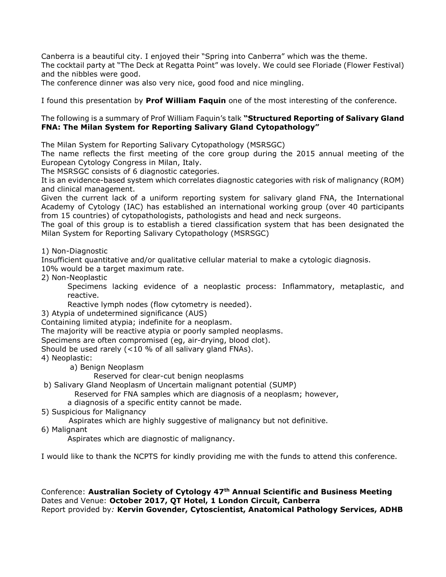Canberra is a beautiful city. I enjoyed their "Spring into Canberra" which was the theme. The cocktail party at "The Deck at Regatta Point" was lovely. We could see Floriade (Flower Festival) and the nibbles were good.

The conference dinner was also very nice, good food and nice mingling.

I found this presentation by **Prof William Faquin** one of the most interesting of the conference.

### The following is a summary of Prof William Faquin's talk **"Structured Reporting of Salivary Gland FNA: The Milan System for Reporting Salivary Gland Cytopathology"**

The Milan System for Reporting Salivary Cytopathology (MSRSGC)

The name reflects the first meeting of the core group during the 2015 annual meeting of the European Cytology Congress in Milan, Italy.

The MSRSGC consists of 6 diagnostic categories.

It is an evidence-based system which correlates diagnostic categories with risk of malignancy (ROM) and clinical management.

Given the current lack of a uniform reporting system for salivary gland FNA, the International Academy of Cytology (IAC) has established an international working group (over 40 participants from 15 countries) of cytopathologists, pathologists and head and neck surgeons.

The goal of this group is to establish a tiered classification system that has been designated the Milan System for Reporting Salivary Cytopathology (MSRSGC)

1) Non-Diagnostic

Insufficient quantitative and/or qualitative cellular material to make a cytologic diagnosis.

10% would be a target maximum rate.

2) Non-Neoplastic

Specimens lacking evidence of a neoplastic process: Inflammatory, metaplastic, and reactive.

Reactive lymph nodes (flow cytometry is needed).

3) Atypia of undetermined significance (AUS)

Containing limited atypia; indefinite for a neoplasm.

The majority will be reactive atypia or poorly sampled neoplasms.

Specimens are often compromised (eg, air-drying, blood clot).

Should be used rarely (<10 % of all salivary gland FNAs).

- 4) Neoplastic:
	- a) Benign Neoplasm

Reserved for clear-cut benign neoplasms

b) Salivary Gland Neoplasm of Uncertain malignant potential (SUMP)

Reserved for FNA samples which are diagnosis of a neoplasm; however,

- a diagnosis of a specific entity cannot be made.
- 5) Suspicious for Malignancy

Aspirates which are highly suggestive of malignancy but not definitive.

6) Malignant

Aspirates which are diagnostic of malignancy.

I would like to thank the NCPTS for kindly providing me with the funds to attend this conference.

Conference: **Australian Society of Cytology 47th Annual Scientific and Business Meeting** Dates and Venue: **October 2017, QT Hotel, 1 London Circuit, Canberra** Report provided by*:* **Kervin Govender, Cytoscientist, Anatomical Pathology Services, ADHB**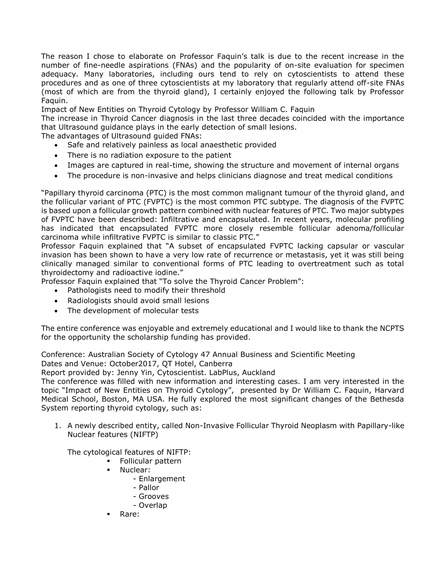The reason I chose to elaborate on Professor Faquin's talk is due to the recent increase in the number of fine-needle aspirations (FNAs) and the popularity of on-site evaluation for specimen adequacy. Many laboratories, including ours tend to rely on cytoscientists to attend these procedures and as one of three cytoscientists at my laboratory that regularly attend off-site FNAs (most of which are from the thyroid gland), I certainly enjoyed the following talk by Professor Faquin.

Impact of New Entities on Thyroid Cytology by Professor William C. Faquin

The increase in Thyroid Cancer diagnosis in the last three decades coincided with the importance that Ultrasound guidance plays in the early detection of small lesions.

The advantages of Ultrasound guided FNAs:

- Safe and relatively painless as local anaesthetic provided
- There is no radiation exposure to the patient
- Images are captured in real-time, showing the structure and movement of internal organs
- The procedure is non-invasive and helps clinicians diagnose and treat medical conditions

"Papillary thyroid carcinoma (PTC) is the most common malignant tumour of the thyroid gland, and the follicular variant of PTC (FVPTC) is the most common PTC subtype. The diagnosis of the FVPTC is based upon a follicular growth pattern combined with nuclear features of PTC. Two major subtypes of FVPTC have been described: Infiltrative and encapsulated. In recent years, molecular profiling has indicated that encapsulated FVPTC more closely resemble follicular adenoma/follicular carcinoma while infiltrative FVPTC is similar to classic PTC."

Professor Faquin explained that "A subset of encapsulated FVPTC lacking capsular or vascular invasion has been shown to have a very low rate of recurrence or metastasis, yet it was still being clinically managed similar to conventional forms of PTC leading to overtreatment such as total thyroidectomy and radioactive iodine."

Professor Faquin explained that "To solve the Thyroid Cancer Problem":

- Pathologists need to modify their threshold
- Radiologists should avoid small lesions
- The development of molecular tests

The entire conference was enjoyable and extremely educational and I would like to thank the NCPTS for the opportunity the scholarship funding has provided.

Conference: Australian Society of Cytology 47 Annual Business and Scientific Meeting Dates and Venue: October2017, QT Hotel, Canberra

Report provided by: Jenny Yin, Cytoscientist. LabPlus, Auckland

The conference was filled with new information and interesting cases. I am very interested in the topic "Impact of New Entities on Thyroid Cytology", presented by Dr William C. Faquin, Harvard Medical School, Boston, MA USA. He fully explored the most significant changes of the Bethesda System reporting thyroid cytology, such as:

1. A newly described entity, called Non-Invasive Follicular Thyroid Neoplasm with Papillary-like Nuclear features (NIFTP)

The cytological features of NIFTP:

- **Follicular pattern**
- **Nuclear:** 
	- Enlargement
	- Pallor
	- Grooves
	- Overlap
	- Rare: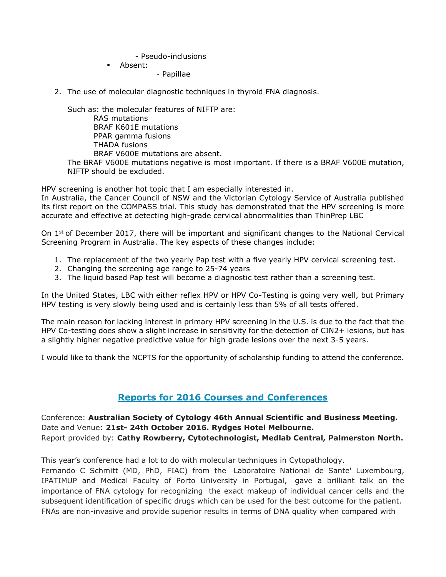- Pseudo-inclusions

Absent:

- Papillae

2. The use of molecular diagnostic techniques in thyroid FNA diagnosis.

Such as: the molecular features of NIFTP are: RAS mutations BRAF K601E mutations PPAR gamma fusions THADA fusions BRAF V600E mutations are absent. The BRAF V600E mutations negative is most important. If there is a BRAF V600E mutation, NIFTP should be excluded.

HPV screening is another hot topic that I am especially interested in.

In Australia, the Cancer Council of NSW and the Victorian Cytology Service of Australia published its first report on the COMPASS trial. This study has demonstrated that the HPV screening is more accurate and effective at detecting high-grade cervical abnormalities than ThinPrep LBC

On  $1<sup>st</sup>$  of December 2017, there will be important and significant changes to the National Cervical Screening Program in Australia. The key aspects of these changes include:

- 1. The replacement of the two yearly Pap test with a five yearly HPV cervical screening test.
- 2. Changing the screening age range to 25-74 years
- 3. The liquid based Pap test will become a diagnostic test rather than a screening test.

In the United States, LBC with either reflex HPV or HPV Co-Testing is going very well, but Primary HPV testing is very slowly being used and is certainly less than 5% of all tests offered.

The main reason for lacking interest in primary HPV screening in the U.S. is due to the fact that the HPV Co-testing does show a slight increase in sensitivity for the detection of CIN2+ lesions, but has a slightly higher negative predictive value for high grade lesions over the next 3-5 years.

I would like to thank the NCPTS for the opportunity of scholarship funding to attend the conference.

# **Reports for 2016 Courses and Conferences**

Conference: **Australian Society of Cytology 46th Annual Scientific and Business Meeting.** Date and Venue: **21st- 24th October 2016. Rydges Hotel Melbourne.** Report provided by: **Cathy Rowberry, Cytotechnologist, Medlab Central, Palmerston North.**

This year's conference had a lot to do with molecular techniques in Cytopathology.

Fernando C Schmitt (MD, PhD, FIAC) from the Laboratoire National de Sante' Luxembourg, IPATIMUP and Medical Faculty of Porto University in Portugal, gave a brilliant talk on the importance of FNA cytology for recognizing the exact makeup of individual cancer cells and the subsequent identification of specific drugs which can be used for the best outcome for the patient. FNAs are non-invasive and provide superior results in terms of DNA quality when compared with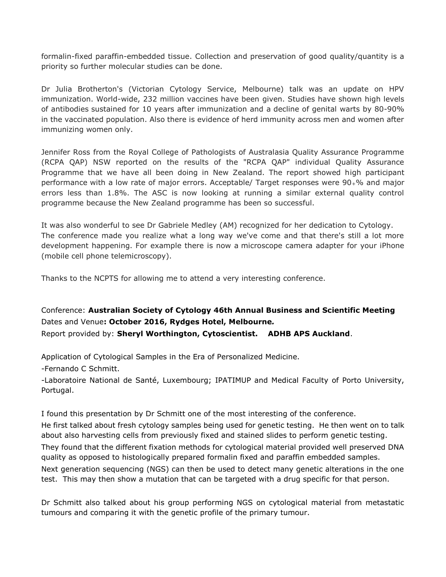formalin-fixed paraffin-embedded tissue. Collection and preservation of good quality/quantity is a priority so further molecular studies can be done.

Dr Julia Brotherton's (Victorian Cytology Service, Melbourne) talk was an update on HPV immunization. World-wide, 232 million vaccines have been given. Studies have shown high levels of antibodies sustained for 10 years after immunization and a decline of genital warts by 80-90% in the vaccinated population. Also there is evidence of herd immunity across men and women after immunizing women only.

Jennifer Ross from the Royal College of Pathologists of Australasia Quality Assurance Programme (RCPA QAP) NSW reported on the results of the "RCPA QAP" individual Quality Assurance Programme that we have all been doing in New Zealand. The report showed high participant performance with a low rate of major errors. Acceptable/ Target responses were 90+% and major errors less than 1.8%. The ASC is now looking at running a similar external quality control programme because the New Zealand programme has been so successful.

It was also wonderful to see Dr Gabriele Medley (AM) recognized for her dedication to Cytology. The conference made you realize what a long way we've come and that there's still a lot more development happening. For example there is now a microscope camera adapter for your iPhone (mobile cell phone telemicroscopy).

Thanks to the NCPTS for allowing me to attend a very interesting conference.

Conference: **Australian Society of Cytology 46th Annual Business and Scientific Meeting**  Dates and Venue**: October 2016, Rydges Hotel, Melbourne***.* Report provided by: **Sheryl Worthington, Cytoscientist. ADHB APS Auckland**.

Application of Cytological Samples in the Era of Personalized Medicine.

-Fernando C Schmitt.

-Laboratoire National de Santé, Luxembourg; IPATIMUP and Medical Faculty of Porto University, Portugal.

I found this presentation by Dr Schmitt one of the most interesting of the conference. He first talked about fresh cytology samples being used for genetic testing. He then went on to talk about also harvesting cells from previously fixed and stained slides to perform genetic testing. They found that the different fixation methods for cytological material provided well preserved DNA quality as opposed to histologically prepared formalin fixed and paraffin embedded samples. Next generation sequencing (NGS) can then be used to detect many genetic alterations in the one test. This may then show a mutation that can be targeted with a drug specific for that person.

Dr Schmitt also talked about his group performing NGS on cytological material from metastatic tumours and comparing it with the genetic profile of the primary tumour.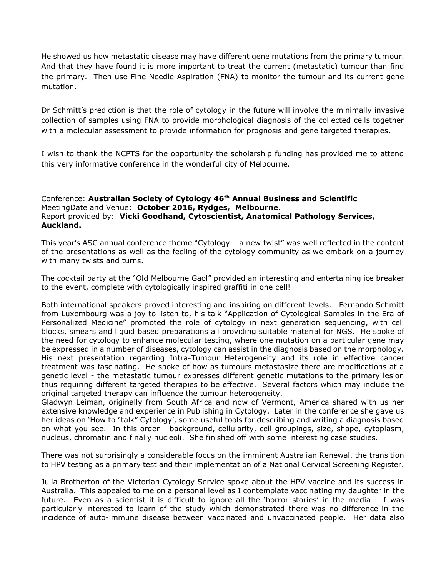He showed us how metastatic disease may have different gene mutations from the primary tumour. And that they have found it is more important to treat the current (metastatic) tumour than find the primary. Then use Fine Needle Aspiration (FNA) to monitor the tumour and its current gene mutation.

Dr Schmitt's prediction is that the role of cytology in the future will involve the minimally invasive collection of samples using FNA to provide morphological diagnosis of the collected cells together with a molecular assessment to provide information for prognosis and gene targeted therapies.

I wish to thank the NCPTS for the opportunity the scholarship funding has provided me to attend this very informative conference in the wonderful city of Melbourne.

### Conference: **Australian Society of Cytology 46th Annual Business and Scientific** MeetingDate and Venue: **October 2016, Rydges, Melbourne**. Report provided by: **Vicki Goodhand, Cytoscientist, Anatomical Pathology Services, Auckland.**

This year's ASC annual conference theme "Cytology – a new twist" was well reflected in the content of the presentations as well as the feeling of the cytology community as we embark on a journey with many twists and turns.

The cocktail party at the "Old Melbourne Gaol" provided an interesting and entertaining ice breaker to the event, complete with cytologically inspired graffiti in one cell!

Both international speakers proved interesting and inspiring on different levels. Fernando Schmitt from Luxembourg was a joy to listen to, his talk "Application of Cytological Samples in the Era of Personalized Medicine" promoted the role of cytology in next generation sequencing, with cell blocks, smears and liquid based preparations all providing suitable material for NGS. He spoke of the need for cytology to enhance molecular testing, where one mutation on a particular gene may be expressed in a number of diseases, cytology can assist in the diagnosis based on the morphology. His next presentation regarding Intra-Tumour Heterogeneity and its role in effective cancer treatment was fascinating. He spoke of how as tumours metastasize there are modifications at a genetic level - the metastatic tumour expresses different genetic mutations to the primary lesion thus requiring different targeted therapies to be effective. Several factors which may include the original targeted therapy can influence the tumour heterogeneity.

Gladwyn Leiman, originally from South Africa and now of Vermont, America shared with us her extensive knowledge and experience in Publishing in Cytology. Later in the conference she gave us her ideas on 'How to "talk" Cytology', some useful tools for describing and writing a diagnosis based on what you see. In this order - background, cellularity, cell groupings, size, shape, cytoplasm, nucleus, chromatin and finally nucleoli. She finished off with some interesting case studies.

There was not surprisingly a considerable focus on the imminent Australian Renewal, the transition to HPV testing as a primary test and their implementation of a National Cervical Screening Register.

Julia Brotherton of the Victorian Cytology Service spoke about the HPV vaccine and its success in Australia. This appealed to me on a personal level as I contemplate vaccinating my daughter in the future. Even as a scientist it is difficult to ignore all the 'horror stories' in the media – I was particularly interested to learn of the study which demonstrated there was no difference in the incidence of auto-immune disease between vaccinated and unvaccinated people. Her data also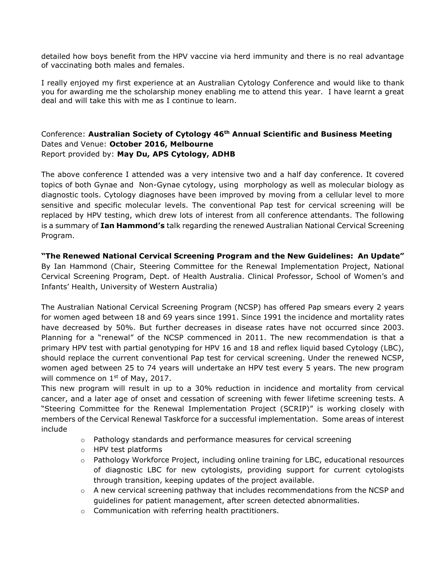detailed how boys benefit from the HPV vaccine via herd immunity and there is no real advantage of vaccinating both males and females.

I really enjoyed my first experience at an Australian Cytology Conference and would like to thank you for awarding me the scholarship money enabling me to attend this year. I have learnt a great deal and will take this with me as I continue to learn.

# Conference: **Australian Society of Cytology 46th Annual Scientific and Business Meeting**  Dates and Venue: **October 2016, Melbourne** Report provided by: **May Du, APS Cytology, ADHB**

The above conference I attended was a very intensive two and a half day conference. It covered topics of both Gynae and Non-Gynae cytology, using morphology as well as molecular biology as diagnostic tools. Cytology diagnoses have been improved by moving from a cellular level to more sensitive and specific molecular levels. The conventional Pap test for cervical screening will be replaced by HPV testing, which drew lots of interest from all conference attendants. The following is a summary of **Ian Hammond's** talk regarding the renewed Australian National Cervical Screening Program.

**"The Renewed National Cervical Screening Program and the New Guidelines: An Update"** By Ian Hammond (Chair, Steering Committee for the Renewal Implementation Project, National Cervical Screening Program, Dept. of Health Australia. Clinical Professor, School of Women's and Infants' Health, University of Western Australia)

The Australian National Cervical Screening Program (NCSP) has offered Pap smears every 2 years for women aged between 18 and 69 years since 1991. Since 1991 the incidence and mortality rates have decreased by 50%. But further decreases in disease rates have not occurred since 2003. Planning for a "renewal" of the NCSP commenced in 2011. The new recommendation is that a primary HPV test with partial genotyping for HPV 16 and 18 and reflex liquid based Cytology (LBC), should replace the current conventional Pap test for cervical screening. Under the renewed NCSP, women aged between 25 to 74 years will undertake an HPV test every 5 years. The new program will commence on  $1<sup>st</sup>$  of May, 2017.

This new program will result in up to a 30% reduction in incidence and mortality from cervical cancer, and a later age of onset and cessation of screening with fewer lifetime screening tests. A "Steering Committee for the Renewal Implementation Project (SCRIP)" is working closely with members of the Cervical Renewal Taskforce for a successful implementation. Some areas of interest include

- $\circ$  Pathology standards and performance measures for cervical screening
- o HPV test platforms
- $\circ$  Pathology Workforce Project, including online training for LBC, educational resources of diagnostic LBC for new cytologists, providing support for current cytologists through transition, keeping updates of the project available.
- $\circ$  A new cervical screening pathway that includes recommendations from the NCSP and guidelines for patient management, after screen detected abnormalities.
- o Communication with referring health practitioners.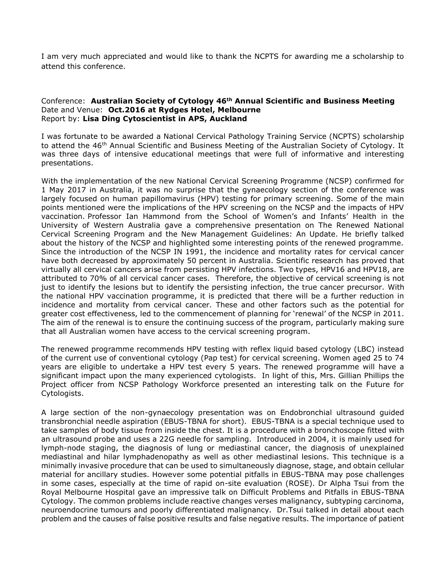I am very much appreciated and would like to thank the NCPTS for awarding me a scholarship to attend this conference.

### Conference: **Australian Society of Cytology 46th Annual Scientific and Business Meeting** Date and Venue: **Oct.2016 at Rydges Hotel, Melbourne**  Report by: **Lisa Ding Cytoscientist in APS, Auckland**

I was fortunate to be awarded a National Cervical Pathology Training Service (NCPTS) scholarship to attend the 46<sup>th</sup> Annual Scientific and Business Meeting of the Australian Society of Cytology. It was three days of intensive educational meetings that were full of informative and interesting presentations.

With the implementation of the new National Cervical Screening Programme (NCSP) confirmed for 1 May 2017 in Australia, it was no surprise that the gynaecology section of the conference was largely focused on human papillomavirus (HPV) testing for primary screening. Some of the main points mentioned were the implications of the HPV screening on the NCSP and the impacts of HPV vaccination. Professor Ian Hammond from the School of Women's and Infants' Health in the University of Western Australia gave a comprehensive presentation on The Renewed National Cervical Screening Program and the New Management Guidelines: An Update. He briefly talked about the history of the NCSP and highlighted some interesting points of the renewed programme. Since the introduction of the NCSP IN 1991, the incidence and mortality rates for cervical cancer have both decreased by approximately 50 percent in Australia. Scientific research has proved that virtually all cervical cancers arise from persisting HPV infections. Two types, HPV16 and HPV18, are attributed to 70% of all cervical cancer cases. Therefore, the objective of cervical screening is not just to identify the lesions but to identify the persisting infection, the true cancer precursor. With the national HPV vaccination programme, it is predicted that there will be a further reduction in incidence and mortality from cervical cancer. These and other factors such as the potential for greater cost effectiveness, led to the commencement of planning for 'renewal' of the NCSP in 2011. The aim of the renewal is to ensure the continuing success of the program, particularly making sure that all Australian women have access to the cervical screening program.

The renewed programme recommends HPV testing with reflex liquid based cytology (LBC) instead of the current use of conventional cytology (Pap test) for cervical screening. Women aged 25 to 74 years are eligible to undertake a HPV test every 5 years. The renewed programme will have a significant impact upon the many experienced cytologists. In light of this, Mrs. Gillian Phillips the Project officer from NCSP Pathology Workforce presented an interesting talk on the Future for Cytologists.

A large section of the non-gynaecology presentation was on Endobronchial ultrasound guided transbronchial needle aspiration (EBUS-TBNA for short). EBUS-TBNA is a special technique used to take samples of body tissue from inside the chest. It is a procedure with a bronchoscope fitted with an ultrasound probe and uses a 22G needle for sampling. Introduced in 2004, it is mainly used for lymph-node staging, the diagnosis of lung or mediastinal cancer, the diagnosis of unexplained mediastinal and hilar lymphadenopathy as well as other mediastinal lesions. This technique is a minimally invasive procedure that can be used to simultaneously diagnose, stage, and obtain cellular material for ancillary studies. However some potential pitfalls in EBUS-TBNA may pose challenges in some cases, especially at the time of rapid on-site evaluation (ROSE). Dr Alpha Tsui from the Royal Melbourne Hospital gave an impressive talk on Difficult Problems and Pitfalls in EBUS-TBNA Cytology. The common problems include reactive changes verses malignancy, subtyping carcinoma, neuroendocrine tumours and poorly differentiated malignancy. Dr.Tsui talked in detail about each problem and the causes of false positive results and false negative results. The importance of patient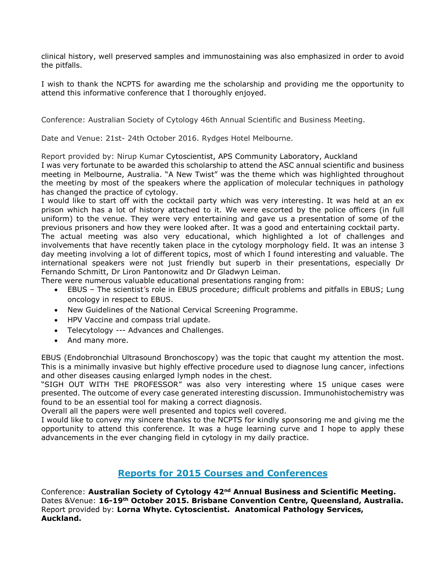clinical history, well preserved samples and immunostaining was also emphasized in order to avoid the pitfalls.

I wish to thank the NCPTS for awarding me the scholarship and providing me the opportunity to attend this informative conference that I thoroughly enjoyed.

Conference: Australian Society of Cytology 46th Annual Scientific and Business Meeting.

Date and Venue: 21st- 24th October 2016. Rydges Hotel Melbourne.

Report provided by: Nirup Kumar Cytoscientist, APS Community Laboratory, Auckland

I was very fortunate to be awarded this scholarship to attend the ASC annual scientific and business meeting in Melbourne, Australia. "A New Twist" was the theme which was highlighted throughout the meeting by most of the speakers where the application of molecular techniques in pathology has changed the practice of cytology.

I would like to start off with the cocktail party which was very interesting. It was held at an ex prison which has a lot of history attached to it. We were escorted by the police officers (in full uniform) to the venue. They were very entertaining and gave us a presentation of some of the previous prisoners and how they were looked after. It was a good and entertaining cocktail party. The actual meeting was also very educational, which highlighted a lot of challenges and

involvements that have recently taken place in the cytology morphology field. It was an intense 3 day meeting involving a lot of different topics, most of which I found interesting and valuable. The international speakers were not just friendly but superb in their presentations, especially Dr Fernando Schmitt, Dr Liron Pantonowitz and Dr Gladwyn Leiman.

There were numerous valuable educational presentations ranging from:

- EBUS The scientist's role in EBUS procedure; difficult problems and pitfalls in EBUS; Lung oncology in respect to EBUS.
- New Guidelines of the National Cervical Screening Programme.
- HPV Vaccine and compass trial update.
- Telecytology --- Advances and Challenges.
- And many more.

EBUS (Endobronchial Ultrasound Bronchoscopy) was the topic that caught my attention the most. This is a minimally invasive but highly effective procedure used to diagnose lung cancer, infections and other diseases causing enlarged lymph nodes in the chest.

"SIGH OUT WITH THE PROFESSOR" was also very interesting where 15 unique cases were presented. The outcome of every case generated interesting discussion. Immunohistochemistry was found to be an essential tool for making a correct diagnosis.

Overall all the papers were well presented and topics well covered.

I would like to convey my sincere thanks to the NCPTS for kindly sponsoring me and giving me the opportunity to attend this conference. It was a huge learning curve and I hope to apply these advancements in the ever changing field in cytology in my daily practice.

# **Reports for 2015 Courses and Conferences**

Conference: **Australian Society of Cytology 42nd Annual Business and Scientific Meeting.** Dates &Venue: **16-19th October 2015. Brisbane Convention Centre, Queensland, Australia.** Report provided by: **Lorna Whyte. Cytoscientist. Anatomical Pathology Services, Auckland.**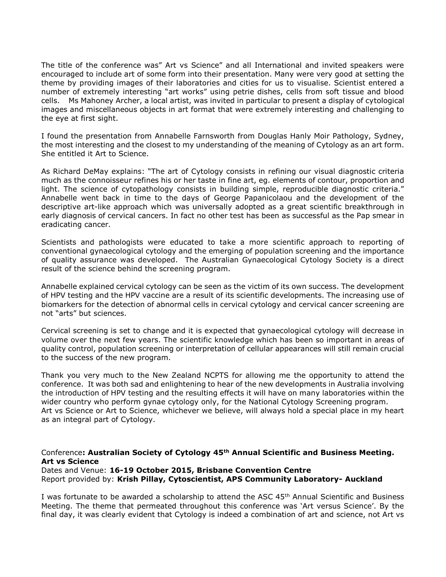The title of the conference was" Art vs Science" and all International and invited speakers were encouraged to include art of some form into their presentation. Many were very good at setting the theme by providing images of their laboratories and cities for us to visualise. Scientist entered a number of extremely interesting "art works" using petrie dishes, cells from soft tissue and blood cells. Ms Mahoney Archer, a local artist, was invited in particular to present a display of cytological images and miscellaneous objects in art format that were extremely interesting and challenging to the eye at first sight.

I found the presentation from Annabelle Farnsworth from Douglas Hanly Moir Pathology, Sydney, the most interesting and the closest to my understanding of the meaning of Cytology as an art form. She entitled it Art to Science.

As Richard DeMay explains: "The art of Cytology consists in refining our visual diagnostic criteria much as the connoisseur refines his or her taste in fine art, eg. elements of contour, proportion and light. The science of cytopathology consists in building simple, reproducible diagnostic criteria." Annabelle went back in time to the days of George Papanicolaou and the development of the descriptive art-like approach which was universally adopted as a great scientific breakthrough in early diagnosis of cervical cancers. In fact no other test has been as successful as the Pap smear in eradicating cancer.

Scientists and pathologists were educated to take a more scientific approach to reporting of conventional gynaecological cytology and the emerging of population screening and the importance of quality assurance was developed. The Australian Gynaecological Cytology Society is a direct result of the science behind the screening program.

Annabelle explained cervical cytology can be seen as the victim of its own success. The development of HPV testing and the HPV vaccine are a result of its scientific developments. The increasing use of biomarkers for the detection of abnormal cells in cervical cytology and cervical cancer screening are not "arts" but sciences.

Cervical screening is set to change and it is expected that gynaecological cytology will decrease in volume over the next few years. The scientific knowledge which has been so important in areas of quality control, population screening or interpretation of cellular appearances will still remain crucial to the success of the new program.

Thank you very much to the New Zealand NCPTS for allowing me the opportunity to attend the conference. It was both sad and enlightening to hear of the new developments in Australia involving the introduction of HPV testing and the resulting effects it will have on many laboratories within the wider country who perform gynae cytology only, for the National Cytology Screening program. Art vs Science or Art to Science, whichever we believe, will always hold a special place in my heart as an integral part of Cytology.

### Conference**: Australian Society of Cytology 45th Annual Scientific and Business Meeting. Art vs Science**

Dates and Venue: **16-19 October 2015, Brisbane Convention Centre** Report provided by: **Krish Pillay, Cytoscientist, APS Community Laboratory- Auckland**

I was fortunate to be awarded a scholarship to attend the ASC 45<sup>th</sup> Annual Scientific and Business Meeting. The theme that permeated throughout this conference was 'Art versus Science'. By the final day, it was clearly evident that Cytology is indeed a combination of art and science, not Art vs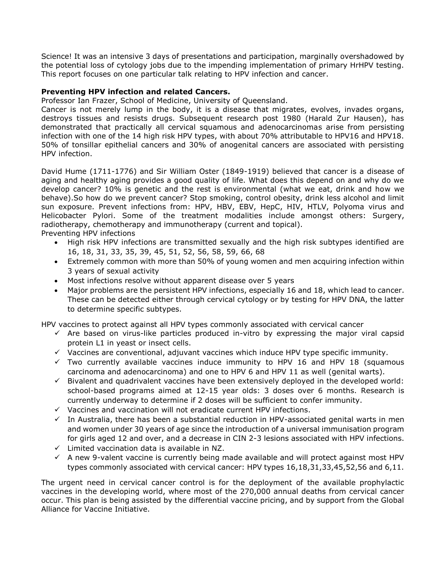Science! It was an intensive 3 days of presentations and participation, marginally overshadowed by the potential loss of cytology jobs due to the impending implementation of primary HrHPV testing. This report focuses on one particular talk relating to HPV infection and cancer.

### **Preventing HPV infection and related Cancers.**

Professor Ian Frazer, School of Medicine, University of Queensland.

Cancer is not merely lump in the body, it is a disease that migrates, evolves, invades organs, destroys tissues and resists drugs. Subsequent research post 1980 (Harald Zur Hausen), has demonstrated that practically all cervical squamous and adenocarcinomas arise from persisting infection with one of the 14 high risk HPV types, with about 70% attributable to HPV16 and HPV18. 50% of tonsillar epithelial cancers and 30% of anogenital cancers are associated with persisting HPV infection.

David Hume (1711-1776) and Sir William Oster (1849-1919) believed that cancer is a disease of aging and healthy aging provides a good quality of life. What does this depend on and why do we develop cancer? 10% is genetic and the rest is environmental (what we eat, drink and how we behave).So how do we prevent cancer? Stop smoking, control obesity, drink less alcohol and limit sun exposure. Prevent infections from: HPV, HBV, EBV, HepC, HIV, HTLV, Polyoma virus and Helicobacter Pylori. Some of the treatment modalities include amongst others: Surgery, radiotherapy, chemotherapy and immunotherapy (current and topical). Preventing HPV infections

- High risk HPV infections are transmitted sexually and the high risk subtypes identified are 16, 18, 31, 33, 35, 39, 45, 51, 52, 56, 58, 59, 66, 68
- Extremely common with more than 50% of young women and men acquiring infection within 3 years of sexual activity
- Most infections resolve without apparent disease over 5 years
- Major problems are the persistent HPV infections, especially 16 and 18, which lead to cancer. These can be detected either through cervical cytology or by testing for HPV DNA, the latter to determine specific subtypes.

HPV vaccines to protect against all HPV types commonly associated with cervical cancer

- $\checkmark$  Are based on virus-like particles produced in-vitro by expressing the major viral capsid protein L1 in yeast or insect cells.
- $\checkmark$  Vaccines are conventional, adjuvant vaccines which induce HPV type specific immunity.
- $\checkmark$  Two currently available vaccines induce immunity to HPV 16 and HPV 18 (squamous carcinoma and adenocarcinoma) and one to HPV 6 and HPV 11 as well (genital warts).
- $\checkmark$  Bivalent and quadrivalent vaccines have been extensively deployed in the developed world: school-based programs aimed at 12-15 year olds: 3 doses over 6 months. Research is currently underway to determine if 2 doses will be sufficient to confer immunity.
- $\checkmark$  Vaccines and vaccination will not eradicate current HPV infections.
- $\checkmark$  In Australia, there has been a substantial reduction in HPV-associated genital warts in men and women under 30 years of age since the introduction of a universal immunisation program for girls aged 12 and over, and a decrease in CIN 2-3 lesions associated with HPV infections.
- $\checkmark$  Limited vaccination data is available in NZ.
- $\checkmark$  A new 9-valent vaccine is currently being made available and will protect against most HPV types commonly associated with cervical cancer: HPV types 16,18,31,33,45,52,56 and 6,11.

The urgent need in cervical cancer control is for the deployment of the available prophylactic vaccines in the developing world, where most of the 270,000 annual deaths from cervical cancer occur. This plan is being assisted by the differential vaccine pricing, and by support from the Global Alliance for Vaccine Initiative.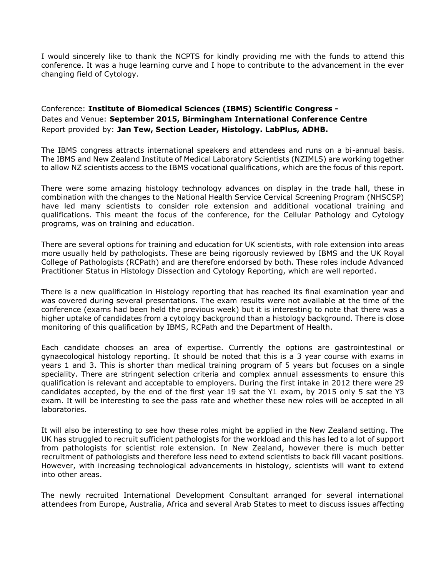I would sincerely like to thank the NCPTS for kindly providing me with the funds to attend this conference. It was a huge learning curve and I hope to contribute to the advancement in the ever changing field of Cytology.

# Conference: **Institute of Biomedical Sciences (IBMS) Scientific Congress -** Dates and Venue: **September 2015, Birmingham International Conference Centre** Report provided by: **Jan Tew, Section Leader, Histology. LabPlus, ADHB.**

The IBMS congress attracts international speakers and attendees and runs on a bi-annual basis. The IBMS and New Zealand Institute of Medical Laboratory Scientists (NZIMLS) are working together to allow NZ scientists access to the IBMS vocational qualifications, which are the focus of this report.

There were some amazing histology technology advances on display in the trade hall, these in combination with the changes to the National Health Service Cervical Screening Program (NHSCSP) have led many scientists to consider role extension and additional vocational training and qualifications. This meant the focus of the conference, for the Cellular Pathology and Cytology programs, was on training and education.

There are several options for training and education for UK scientists, with role extension into areas more usually held by pathologists. These are being rigorously reviewed by IBMS and the UK Royal College of Pathologists (RCPath) and are therefore endorsed by both. These roles include Advanced Practitioner Status in Histology Dissection and Cytology Reporting, which are well reported.

There is a new qualification in Histology reporting that has reached its final examination year and was covered during several presentations. The exam results were not available at the time of the conference (exams had been held the previous week) but it is interesting to note that there was a higher uptake of candidates from a cytology background than a histology background. There is close monitoring of this qualification by IBMS, RCPath and the Department of Health.

Each candidate chooses an area of expertise. Currently the options are gastrointestinal or gynaecological histology reporting. It should be noted that this is a 3 year course with exams in years 1 and 3. This is shorter than medical training program of 5 years but focuses on a single speciality. There are stringent selection criteria and complex annual assessments to ensure this qualification is relevant and acceptable to employers. During the first intake in 2012 there were 29 candidates accepted, by the end of the first year 19 sat the Y1 exam, by 2015 only 5 sat the Y3 exam. It will be interesting to see the pass rate and whether these new roles will be accepted in all laboratories.

It will also be interesting to see how these roles might be applied in the New Zealand setting. The UK has struggled to recruit sufficient pathologists for the workload and this has led to a lot of support from pathologists for scientist role extension. In New Zealand, however there is much better recruitment of pathologists and therefore less need to extend scientists to back fill vacant positions. However, with increasing technological advancements in histology, scientists will want to extend into other areas.

The newly recruited International Development Consultant arranged for several international attendees from Europe, Australia, Africa and several Arab States to meet to discuss issues affecting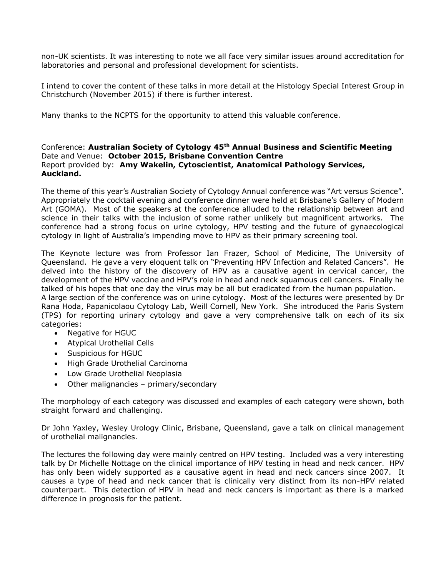non-UK scientists. It was interesting to note we all face very similar issues around accreditation for laboratories and personal and professional development for scientists.

I intend to cover the content of these talks in more detail at the Histology Special Interest Group in Christchurch (November 2015) if there is further interest.

Many thanks to the NCPTS for the opportunity to attend this valuable conference.

### Conference: **Australian Society of Cytology 45th Annual Business and Scientific Meeting** Date and Venue: **October 2015, Brisbane Convention Centre** Report provided by: **Amy Wakelin, Cytoscientist, Anatomical Pathology Services, Auckland.**

The theme of this year's Australian Society of Cytology Annual conference was "Art versus Science". Appropriately the cocktail evening and conference dinner were held at Brisbane's Gallery of Modern Art (GOMA). Most of the speakers at the conference alluded to the relationship between art and science in their talks with the inclusion of some rather unlikely but magnificent artworks. The conference had a strong focus on urine cytology, HPV testing and the future of gynaecological cytology in light of Australia's impending move to HPV as their primary screening tool.

The Keynote lecture was from Professor Ian Frazer, School of Medicine, The University of Queensland. He gave a very eloquent talk on "Preventing HPV Infection and Related Cancers". He delved into the history of the discovery of HPV as a causative agent in cervical cancer, the development of the HPV vaccine and HPV's role in head and neck squamous cell cancers. Finally he talked of his hopes that one day the virus may be all but eradicated from the human population. A large section of the conference was on urine cytology. Most of the lectures were presented by Dr Rana Hoda, Papanicolaou Cytology Lab, Weill Cornell, New York. She introduced the Paris System (TPS) for reporting urinary cytology and gave a very comprehensive talk on each of its six

- categories: • Negative for HGUC
	- Atypical Urothelial Cells
	- Suspicious for HGUC
	- High Grade Urothelial Carcinoma
	- Low Grade Urothelial Neoplasia
	- Other malignancies primary/secondary

The morphology of each category was discussed and examples of each category were shown, both straight forward and challenging.

Dr John Yaxley, Wesley Urology Clinic, Brisbane, Queensland, gave a talk on clinical management of urothelial malignancies.

The lectures the following day were mainly centred on HPV testing. Included was a very interesting talk by Dr Michelle Nottage on the clinical importance of HPV testing in head and neck cancer. HPV has only been widely supported as a causative agent in head and neck cancers since 2007. It causes a type of head and neck cancer that is clinically very distinct from its non-HPV related counterpart. This detection of HPV in head and neck cancers is important as there is a marked difference in prognosis for the patient.